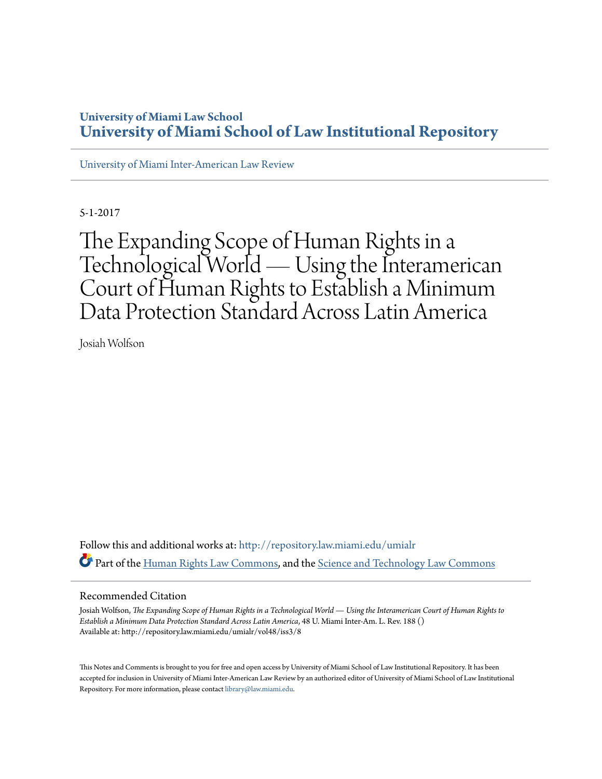# **University of Miami Law School [University of Miami School of Law Institutional Repository](http://repository.law.miami.edu?utm_source=repository.law.miami.edu%2Fumialr%2Fvol48%2Fiss3%2F8&utm_medium=PDF&utm_campaign=PDFCoverPages)**

[University of Miami Inter-American Law Review](http://repository.law.miami.edu/umialr?utm_source=repository.law.miami.edu%2Fumialr%2Fvol48%2Fiss3%2F8&utm_medium=PDF&utm_campaign=PDFCoverPages)

5-1-2017

The Expanding Scope of Human Rights in a Technological World — Using the Interamerican Court of Human Rights to Establish a Minimum Data Protection Standard Across Latin America

Josiah Wolfson

Follow this and additional works at: [http://repository.law.miami.edu/umialr](http://repository.law.miami.edu/umialr?utm_source=repository.law.miami.edu%2Fumialr%2Fvol48%2Fiss3%2F8&utm_medium=PDF&utm_campaign=PDFCoverPages) Part of the [Human Rights Law Commons,](http://network.bepress.com/hgg/discipline/847?utm_source=repository.law.miami.edu%2Fumialr%2Fvol48%2Fiss3%2F8&utm_medium=PDF&utm_campaign=PDFCoverPages) and the [Science and Technology Law Commons](http://network.bepress.com/hgg/discipline/875?utm_source=repository.law.miami.edu%2Fumialr%2Fvol48%2Fiss3%2F8&utm_medium=PDF&utm_campaign=PDFCoverPages)

# Recommended Citation

Josiah Wolfson, *The Expanding Scope of Human Rights in a Technological World — Using the Interamerican Court of Human Rights to Establish a Minimum Data Protection Standard Across Latin America*, 48 U. Miami Inter-Am. L. Rev. 188 () Available at: http://repository.law.miami.edu/umialr/vol48/iss3/8

This Notes and Comments is brought to you for free and open access by University of Miami School of Law Institutional Repository. It has been accepted for inclusion in University of Miami Inter-American Law Review by an authorized editor of University of Miami School of Law Institutional Repository. For more information, please contact [library@law.miami.edu](mailto:library@law.miami.edu).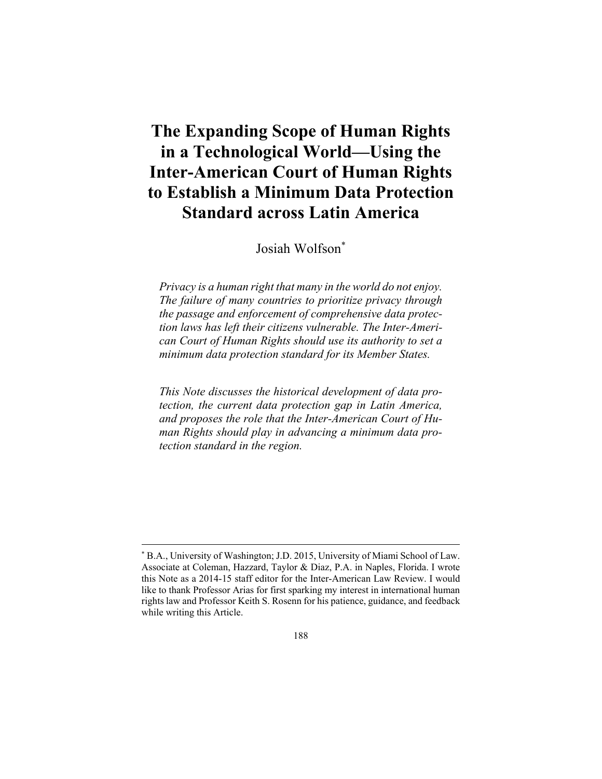# **The Expanding Scope of Human Rights in a Technological World—Using the Inter-American Court of Human Rights to Establish a Minimum Data Protection Standard across Latin America**

Josiah Wolfson\*

*Privacy is a human right that many in the world do not enjoy. The failure of many countries to prioritize privacy through the passage and enforcement of comprehensive data protection laws has left their citizens vulnerable. The Inter-American Court of Human Rights should use its authority to set a minimum data protection standard for its Member States.* 

*This Note discusses the historical development of data protection, the current data protection gap in Latin America, and proposes the role that the Inter-American Court of Human Rights should play in advancing a minimum data protection standard in the region.* 

1

<sup>\*</sup> B.A., University of Washington; J.D. 2015, University of Miami School of Law. Associate at Coleman, Hazzard, Taylor & Diaz, P.A. in Naples, Florida. I wrote this Note as a 2014-15 staff editor for the Inter-American Law Review. I would like to thank Professor Arias for first sparking my interest in international human rights law and Professor Keith S. Rosenn for his patience, guidance, and feedback while writing this Article.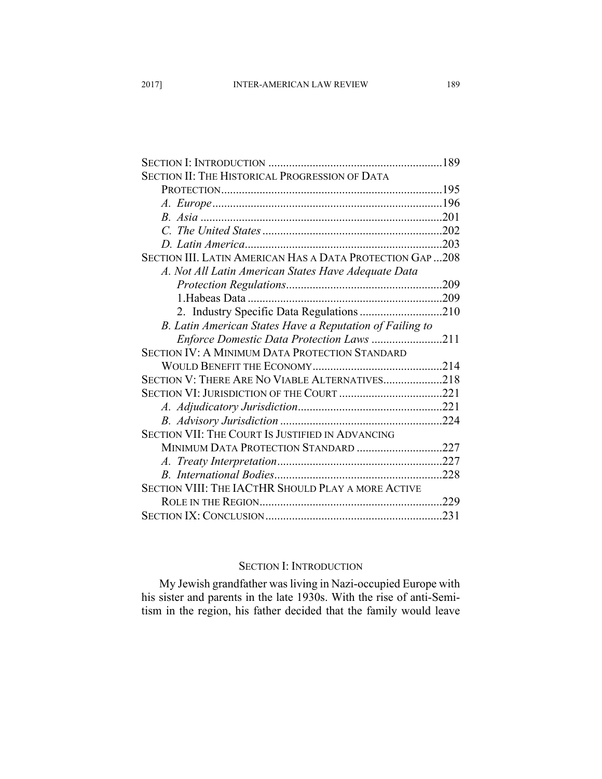| SECTION II: THE HISTORICAL PROGRESSION OF DATA            |      |
|-----------------------------------------------------------|------|
|                                                           |      |
|                                                           |      |
|                                                           |      |
|                                                           |      |
|                                                           |      |
| SECTION III. LATIN AMERICAN HAS A DATA PROTECTION GAP 208 |      |
| A. Not All Latin American States Have Adequate Data       |      |
|                                                           |      |
|                                                           |      |
| 2. Industry Specific Data Regulations 210                 |      |
| B. Latin American States Have a Reputation of Failing to  |      |
| Enforce Domestic Data Protection Laws 211                 |      |
| <b>SECTION IV: A MINIMUM DATA PROTECTION STANDARD</b>     |      |
|                                                           |      |
| SECTION V: THERE ARE NO VIABLE ALTERNATIVES218            |      |
|                                                           |      |
|                                                           |      |
|                                                           |      |
| <b>SECTION VII: THE COURT IS JUSTIFIED IN ADVANCING</b>   |      |
| MINIMUM DATA PROTECTION STANDARD 227                      |      |
|                                                           |      |
|                                                           | .228 |
| SECTION VIII: THE IACTHR SHOULD PLAY A MORE ACTIVE        |      |
|                                                           | .229 |
|                                                           | .231 |

#### SECTION I: INTRODUCTION

My Jewish grandfather was living in Nazi-occupied Europe with his sister and parents in the late 1930s. With the rise of anti-Semitism in the region, his father decided that the family would leave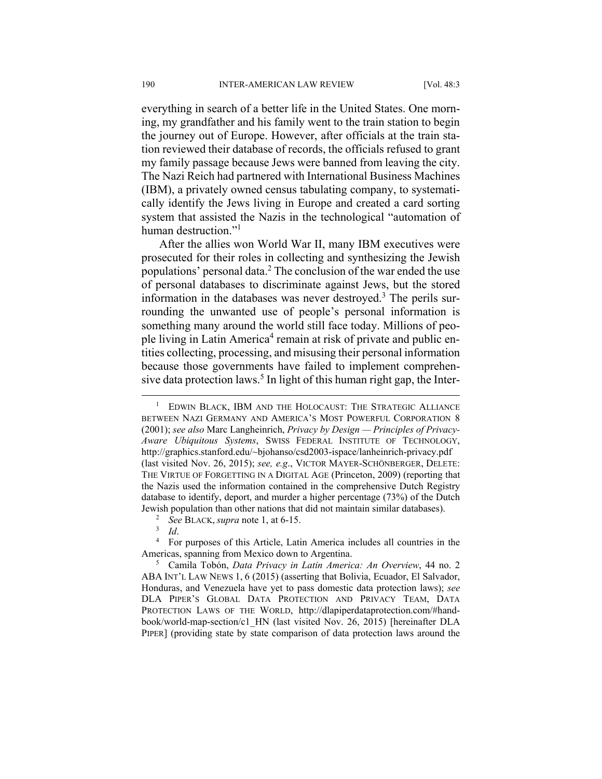everything in search of a better life in the United States. One morning, my grandfather and his family went to the train station to begin the journey out of Europe. However, after officials at the train station reviewed their database of records, the officials refused to grant my family passage because Jews were banned from leaving the city. The Nazi Reich had partnered with International Business Machines (IBM), a privately owned census tabulating company, to systematically identify the Jews living in Europe and created a card sorting system that assisted the Nazis in the technological "automation of human destruction."<sup>1</sup>

After the allies won World War II, many IBM executives were prosecuted for their roles in collecting and synthesizing the Jewish populations' personal data.<sup>2</sup> The conclusion of the war ended the use of personal databases to discriminate against Jews, but the stored information in the databases was never destroyed.<sup>3</sup> The perils surrounding the unwanted use of people's personal information is something many around the world still face today. Millions of people living in Latin America<sup>4</sup> remain at risk of private and public entities collecting, processing, and misusing their personal information because those governments have failed to implement comprehensive data protection laws.<sup>5</sup> In light of this human right gap, the Inter-

<sup>4</sup> For purposes of this Article, Latin America includes all countries in the Americas, spanning from Mexico down to Argentina.

 Camila Tobón, *Data Privacy in Latin America: An Overview*, 44 no. 2 ABA INT'L LAW NEWS 1, 6 (2015) (asserting that Bolivia, Ecuador, El Salvador, Honduras, and Venezuela have yet to pass domestic data protection laws); *see* DLA PIPER'S GLOBAL DATA PROTECTION AND PRIVACY TEAM, DATA PROTECTION LAWS OF THE WORLD, http://dlapiperdataprotection.com/#handbook/world-map-section/c1\_HN (last visited Nov. 26, 2015) [hereinafter DLA PIPER] (providing state by state comparison of data protection laws around the

 $\frac{1}{1}$  EDWIN BLACK, IBM AND THE HOLOCAUST: THE STRATEGIC ALLIANCE BETWEEN NAZI GERMANY AND AMERICA'S MOST POWERFUL CORPORATION 8 (2001); *see also* Marc Langheinrich, *Privacy by Design — Principles of Privacy-Aware Ubiquitous Systems*, SWISS FEDERAL INSTITUTE OF TECHNOLOGY, http://graphics.stanford.edu/~bjohanso/csd2003-ispace/lanheinrich-privacy.pdf (last visited Nov. 26, 2015); *see, e.g*., VICTOR MAYER-SCHÖNBERGER, DELETE: THE VIRTUE OF FORGETTING IN A DIGITAL AGE (Princeton, 2009) (reporting that the Nazis used the information contained in the comprehensive Dutch Registry database to identify, deport, and murder a higher percentage (73%) of the Dutch Jewish population than other nations that did not maintain similar databases). 2

<sup>&</sup>lt;sup>2</sup> *See BLACK, supra* note 1, at 6-15.

 $3$  *Id.*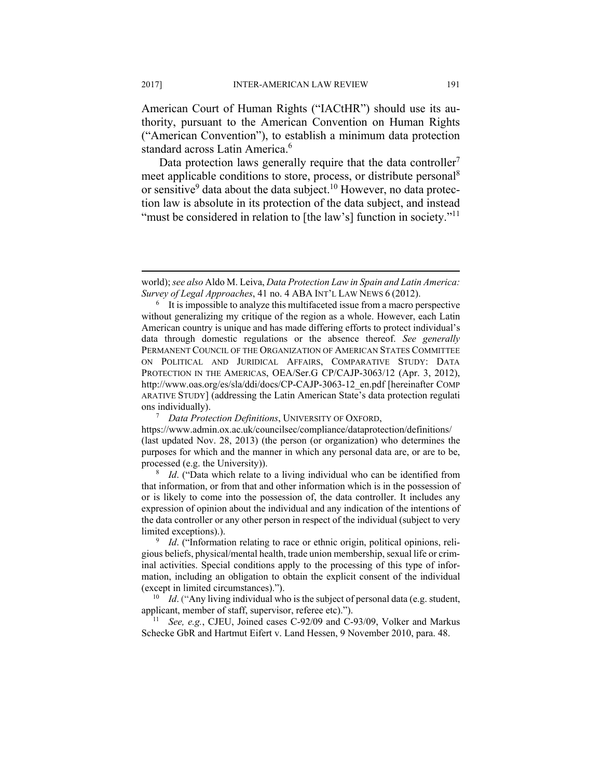American Court of Human Rights ("IACtHR") should use its authority, pursuant to the American Convention on Human Rights ("American Convention"), to establish a minimum data protection standard across Latin America.<sup>6</sup>

Data protection laws generally require that the data controller<sup>7</sup> meet applicable conditions to store, process, or distribute personal<sup>8</sup> or sensitive<sup>9</sup> data about the data subject.<sup>10</sup> However, no data protection law is absolute in its protection of the data subject, and instead "must be considered in relation to [the law's] function in society."<sup>11</sup>

 *Data Protection Definitions*, UNIVERSITY OF OXFORD,

https://www.admin.ox.ac.uk/councilsec/compliance/dataprotection/definitions/ (last updated Nov. 28, 2013) (the person (or organization) who determines the purposes for which and the manner in which any personal data are, or are to be, processed (e.g. the University)). 8

<sup>8</sup> *Id.* ("Data which relate to a living individual who can be identified from that information, or from that and other information which is in the possession of or is likely to come into the possession of, the data controller. It includes any expression of opinion about the individual and any indication of the intentions of the data controller or any other person in respect of the individual (subject to very limited exceptions).).

<sup>9</sup> Id. ("Information relating to race or ethnic origin, political opinions, religious beliefs, physical/mental health, trade union membership, sexual life or criminal activities. Special conditions apply to the processing of this type of information, including an obligation to obtain the explicit consent of the individual

(except in limited circumstances).").<br><sup>10</sup> *Id*. ("Any living individual who is the subject of personal data (e.g. student, applicant, member of staff, supervisor, referee etc).").

<sup>11</sup> See, e.g., CJEU, Joined cases C-92/09 and C-93/09, Volker and Markus Schecke GbR and Hartmut Eifert v. Land Hessen, 9 November 2010, para. 48.

world); *see also* Aldo M. Leiva, *Data Protection Law in Spain and Latin America: Survey of Legal Approaches*, 41 no. 4 ABA INT'L LAW NEWS 6 (2012).

<sup>&</sup>lt;sup>6</sup> It is impossible to analyze this multifaceted issue from a macro perspective without generalizing my critique of the region as a whole. However, each Latin American country is unique and has made differing efforts to protect individual's data through domestic regulations or the absence thereof. *See generally* PERMANENT COUNCIL OF THE ORGANIZATION OF AMERICAN STATES COMMITTEE ON POLITICAL AND JURIDICAL AFFAIRS, COMPARATIVE STUDY: DATA PROTECTION IN THE AMERICAS, OEA/Ser.G CP/CAJP-3063/12 (Apr. 3, 2012), http://www.oas.org/es/sla/ddi/docs/CP-CAJP-3063-12\_en.pdf [hereinafter COMP ARATIVE STUDY] (addressing the Latin American State's data protection regulati ons individually).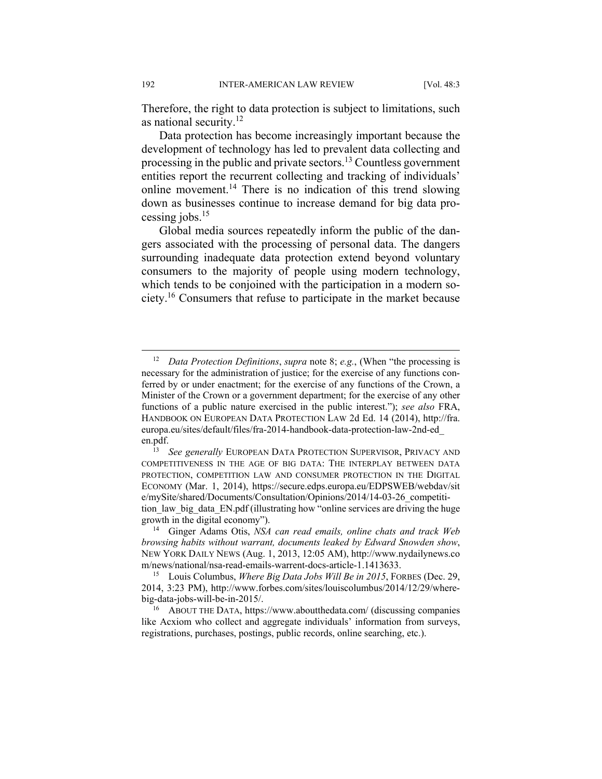Therefore, the right to data protection is subject to limitations, such as national security.<sup>12</sup>

Data protection has become increasingly important because the development of technology has led to prevalent data collecting and processing in the public and private sectors.<sup>13</sup> Countless government entities report the recurrent collecting and tracking of individuals' online movement.<sup>14</sup> There is no indication of this trend slowing down as businesses continue to increase demand for big data processing jobs. $15$ 

Global media sources repeatedly inform the public of the dangers associated with the processing of personal data. The dangers surrounding inadequate data protection extend beyond voluntary consumers to the majority of people using modern technology, which tends to be conjoined with the participation in a modern society.16 Consumers that refuse to participate in the market because

 <sup>12</sup> *Data Protection Definitions*, *supra* note 8; *e.g.*, (When "the processing is necessary for the administration of justice; for the exercise of any functions conferred by or under enactment; for the exercise of any functions of the Crown, a Minister of the Crown or a government department; for the exercise of any other functions of a public nature exercised in the public interest."); *see also* FRA, HANDBOOK ON EUROPEAN DATA PROTECTION LAW 2d Ed. 14 (2014), http://fra. europa.eu/sites/default/files/fra-2014-handbook-data-protection-law-2nd-ed\_ en.pdf. 13 *See generally* EUROPEAN DATA PROTECTION SUPERVISOR, PRIVACY AND

COMPETITIVENESS IN THE AGE OF BIG DATA: THE INTERPLAY BETWEEN DATA PROTECTION, COMPETITION LAW AND CONSUMER PROTECTION IN THE DIGITAL ECONOMY (Mar. 1, 2014), https://secure.edps.europa.eu/EDPSWEB/webdav/sit e/mySite/shared/Documents/Consultation/Opinions/2014/14-03-26\_competitition law big data EN.pdf (illustrating how "online services are driving the huge

growth in the digital economy"). 14 Ginger Adams Otis, *NSA can read emails, online chats and track Web browsing habits without warrant, documents leaked by Edward Snowden show*, NEW YORK DAILY NEWS (Aug. 1, 2013, 12:05 AM), http://www.nydailynews.co m/news/national/nsa-read-emails-warrent-docs-article-1.1413633.

<sup>15</sup> Louis Columbus, *Where Big Data Jobs Will Be in 2015*, FORBES (Dec. 29, 2014, 3:23 PM), http://www.forbes.com/sites/louiscolumbus/2014/12/29/wherebig-data-jobs-will-be-in-2015/. 16 ABOUT THE DATA, https://www.aboutthedata.com/ (discussing companies

like Acxiom who collect and aggregate individuals' information from surveys, registrations, purchases, postings, public records, online searching, etc.).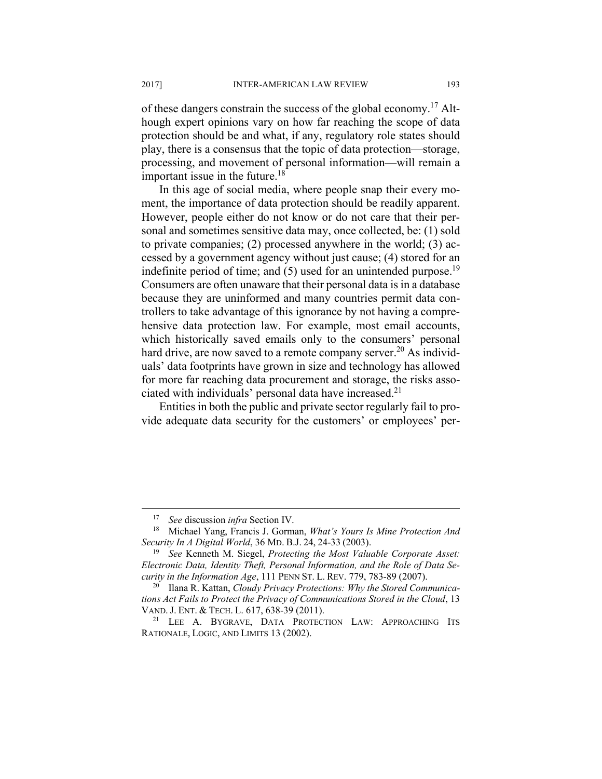of these dangers constrain the success of the global economy.17 Although expert opinions vary on how far reaching the scope of data protection should be and what, if any, regulatory role states should play, there is a consensus that the topic of data protection—storage, processing, and movement of personal information—will remain a important issue in the future. $18$ 

In this age of social media, where people snap their every moment, the importance of data protection should be readily apparent. However, people either do not know or do not care that their personal and sometimes sensitive data may, once collected, be: (1) sold to private companies; (2) processed anywhere in the world; (3) accessed by a government agency without just cause; (4) stored for an indefinite period of time; and  $(5)$  used for an unintended purpose.<sup>19</sup> Consumers are often unaware that their personal data is in a database because they are uninformed and many countries permit data controllers to take advantage of this ignorance by not having a comprehensive data protection law. For example, most email accounts, which historically saved emails only to the consumers' personal hard drive, are now saved to a remote company server.<sup>20</sup> As individuals' data footprints have grown in size and technology has allowed for more far reaching data procurement and storage, the risks associated with individuals' personal data have increased.21

Entities in both the public and private sector regularly fail to provide adequate data security for the customers' or employees' per-

<sup>17</sup> *See* discussion *infra* Section IV. 18 Michael Yang, Francis J. Gorman, *What's Yours Is Mine Protection And Security In A Digital World*, 36 MD. B.J. 24, 24-33 (2003). 19 *See* Kenneth M. Siegel, *Protecting the Most Valuable Corporate Asset:* 

*Electronic Data, Identity Theft, Personal Information, and the Role of Data Security in the Information Age*, 111 PENN ST. L. REV. 779, 783-89 (2007). 20 Ilana R. Kattan, *Cloudy Privacy Protections: Why the Stored Communica-*

*tions Act Fails to Protect the Privacy of Communications Stored in the Cloud*, 13 VAND. J. ENT. & TECH. L. 617, 638-39 (2011).<br><sup>21</sup> LEE A. BYGRAVE, DATA PROTECTION LAW: APPROACHING ITS

RATIONALE, LOGIC, AND LIMITS 13 (2002).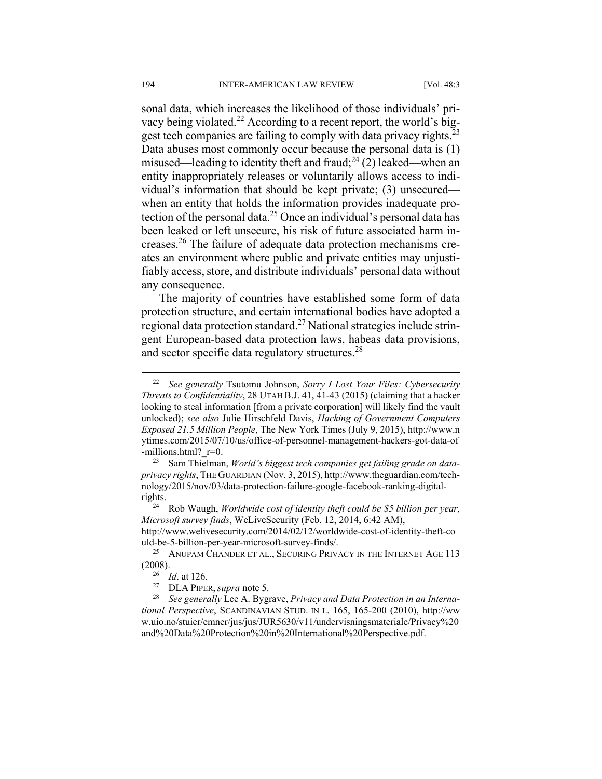sonal data, which increases the likelihood of those individuals' privacy being violated.<sup>22</sup> According to a recent report, the world's biggest tech companies are failing to comply with data privacy rights.<sup>23</sup> Data abuses most commonly occur because the personal data is (1) misused—leading to identity theft and fraud;<sup>24</sup> (2) leaked—when an entity inappropriately releases or voluntarily allows access to individual's information that should be kept private; (3) unsecured when an entity that holds the information provides inadequate protection of the personal data.<sup>25</sup> Once an individual's personal data has been leaked or left unsecure, his risk of future associated harm increases.26 The failure of adequate data protection mechanisms creates an environment where public and private entities may unjustifiably access, store, and distribute individuals' personal data without any consequence.

The majority of countries have established some form of data protection structure, and certain international bodies have adopted a regional data protection standard.27 National strategies include stringent European-based data protection laws, habeas data provisions, and sector specific data regulatory structures.<sup>28</sup>

 <sup>22</sup> *See generally* Tsutomu Johnson, *Sorry I Lost Your Files: Cybersecurity Threats to Confidentiality*, 28 UTAH B.J. 41, 41-43 (2015) (claiming that a hacker looking to steal information [from a private corporation] will likely find the vault unlocked); *see also* Julie Hirschfeld Davis, *Hacking of Government Computers Exposed 21.5 Million People*, The New York Times (July 9, 2015), http://www.n ytimes.com/2015/07/10/us/office-of-personnel-management-hackers-got-data-of -millions.html? r=0.

<sup>23</sup> Sam Thielman, *World's biggest tech companies get failing grade on dataprivacy rights*, THE GUARDIAN (Nov. 3, 2015), http://www.theguardian.com/technology/2015/nov/03/data-protection-failure-google-facebook-ranking-digital-

rights. 24 Rob Waugh, *Worldwide cost of identity theft could be \$5 billion per year, Microsoft survey finds*, WeLiveSecurity (Feb. 12, 2014, 6:42 AM), http://www.welivesecurity.com/2014/02/12/worldwide-cost-of-identity-theft-co uld-be-5-billion-per-year-microsoft-survey-finds/.<br><sup>25</sup> ANUPAM CHANDER ET AL., SECURING PRIVACY IN THE INTERNET AGE 113

<sup>(2008). 26</sup> *Id*. at 126. 27 DLA PIPER, *supra* note 5. 28 *See generally* Lee A. Bygrave, *Privacy and Data Protection in an Interna-*

*tional Perspective*, SCANDINAVIAN STUD. IN L. 165, 165-200 (2010), http://ww w.uio.no/stuier/emner/jus/jus/JUR5630/v11/undervisningsmateriale/Privacy%20 and%20Data%20Protection%20in%20International%20Perspective.pdf.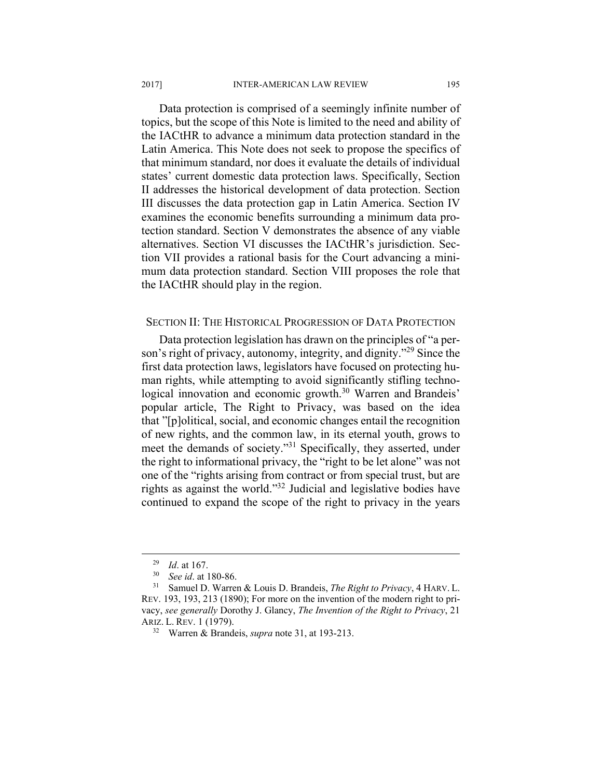Data protection is comprised of a seemingly infinite number of topics, but the scope of this Note is limited to the need and ability of the IACtHR to advance a minimum data protection standard in the Latin America. This Note does not seek to propose the specifics of that minimum standard, nor does it evaluate the details of individual states' current domestic data protection laws. Specifically, Section II addresses the historical development of data protection. Section III discusses the data protection gap in Latin America. Section IV examines the economic benefits surrounding a minimum data protection standard. Section V demonstrates the absence of any viable alternatives. Section VI discusses the IACtHR's jurisdiction. Section VII provides a rational basis for the Court advancing a minimum data protection standard. Section VIII proposes the role that the IACtHR should play in the region.

## SECTION II: THE HISTORICAL PROGRESSION OF DATA PROTECTION

Data protection legislation has drawn on the principles of "a person's right of privacy, autonomy, integrity, and dignity."<sup>29</sup> Since the first data protection laws, legislators have focused on protecting human rights, while attempting to avoid significantly stifling technological innovation and economic growth.<sup>30</sup> Warren and Brandeis' popular article, The Right to Privacy, was based on the idea that "[p]olitical, social, and economic changes entail the recognition of new rights, and the common law, in its eternal youth, grows to meet the demands of society."<sup>31</sup> Specifically, they asserted, under the right to informational privacy, the "right to be let alone" was not one of the "rights arising from contract or from special trust, but are rights as against the world."32 Judicial and legislative bodies have continued to expand the scope of the right to privacy in the years

<sup>29</sup> *Id*. at 167. 30 *See id*. at 180-86. 31 Samuel D. Warren & Louis D. Brandeis, *The Right to Privacy*, 4 HARV. L. REV. 193, 193, 213 (1890); For more on the invention of the modern right to privacy, *see generally* Dorothy J. Glancy, *The Invention of the Right to Privacy*, 21 ARIZ. L. REV. 1 (1979). 32 Warren & Brandeis, *supra* note 31, at 193-213.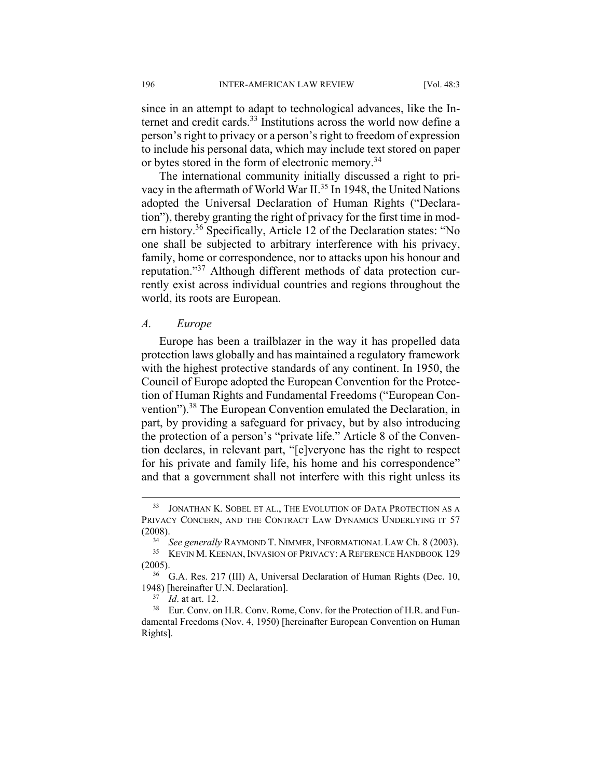since in an attempt to adapt to technological advances, like the Internet and credit cards.<sup>33</sup> Institutions across the world now define a person's right to privacy or a person's right to freedom of expression to include his personal data, which may include text stored on paper or bytes stored in the form of electronic memory.<sup>34</sup>

The international community initially discussed a right to privacy in the aftermath of World War II.<sup>35</sup> In 1948, the United Nations adopted the Universal Declaration of Human Rights ("Declaration"), thereby granting the right of privacy for the first time in modern history.36 Specifically, Article 12 of the Declaration states: "No one shall be subjected to arbitrary interference with his privacy, family, home or correspondence, nor to attacks upon his honour and reputation."37 Although different methods of data protection currently exist across individual countries and regions throughout the world, its roots are European.

#### *A. Europe*

Europe has been a trailblazer in the way it has propelled data protection laws globally and has maintained a regulatory framework with the highest protective standards of any continent. In 1950, the Council of Europe adopted the European Convention for the Protection of Human Rights and Fundamental Freedoms ("European Convention").38 The European Convention emulated the Declaration, in part, by providing a safeguard for privacy, but by also introducing the protection of a person's "private life." Article 8 of the Convention declares, in relevant part, "[e]veryone has the right to respect for his private and family life, his home and his correspondence" and that a government shall not interfere with this right unless its

 <sup>33</sup> JONATHAN K. SOBEL ET AL., THE EVOLUTION OF DATA PROTECTION AS A PRIVACY CONCERN, AND THE CONTRACT LAW DYNAMICS UNDERLYING IT 57

<sup>(2008). 34</sup> *See generally* RAYMOND T. NIMMER, INFORMATIONAL LAW Ch. 8 (2003). 35 KEVIN M. KEENAN, INVASION OF PRIVACY: <sup>A</sup> REFERENCE HANDBOOK 129

<sup>(2005).&</sup>lt;br><sup>36</sup> G.A. Res. 217 (III) A, Universal Declaration of Human Rights (Dec. 10, 1948) [hereinafter U.N. Declaration].<br><sup>37</sup> *Id.* at art. 12.<br><sup>38</sup> Eur. Conv. on H.R. Conv. Rome, Conv. for the Protection of H.R. and Fun-

damental Freedoms (Nov. 4, 1950) [hereinafter European Convention on Human Rights].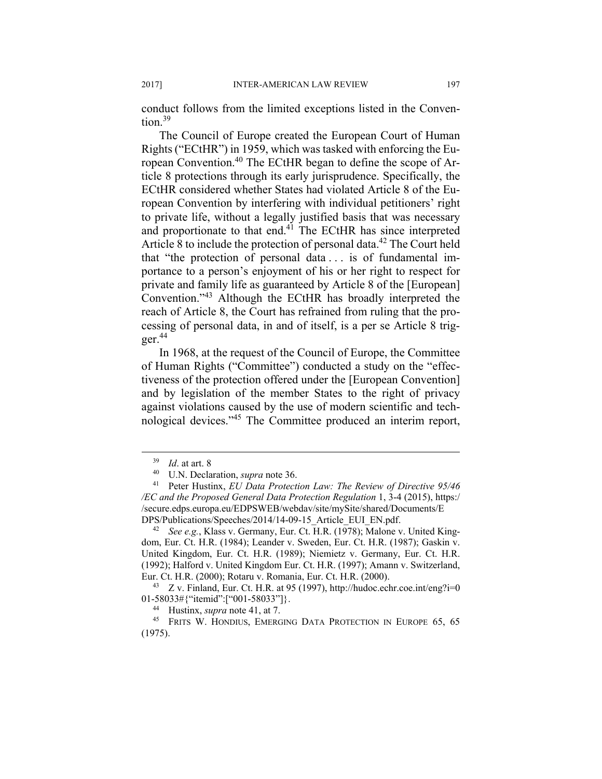conduct follows from the limited exceptions listed in the Conven $t$ <sub>ion</sub> $39$ 

The Council of Europe created the European Court of Human Rights ("ECtHR") in 1959, which was tasked with enforcing the European Convention.40 The ECtHR began to define the scope of Article 8 protections through its early jurisprudence. Specifically, the ECtHR considered whether States had violated Article 8 of the European Convention by interfering with individual petitioners' right to private life, without a legally justified basis that was necessary and proportionate to that end.<sup>41</sup> The ECtHR has since interpreted Article 8 to include the protection of personal data.<sup>42</sup> The Court held that "the protection of personal data . . . is of fundamental importance to a person's enjoyment of his or her right to respect for private and family life as guaranteed by Article 8 of the [European] Convention."43 Although the ECtHR has broadly interpreted the reach of Article 8, the Court has refrained from ruling that the processing of personal data, in and of itself, is a per se Article 8 trig $ger.<sup>44</sup>$ 

In 1968, at the request of the Council of Europe, the Committee of Human Rights ("Committee") conducted a study on the "effectiveness of the protection offered under the [European Convention] and by legislation of the member States to the right of privacy against violations caused by the use of modern scientific and technological devices."45 The Committee produced an interim report,

<sup>&</sup>lt;sup>39</sup> *Id.* at art. 8<br><sup>40</sup> U.N. Declaration, *supra* note 36.<br><sup>41</sup> Peter Hustinx, *EU Data Protection Law: The Review of Directive 95/46 /EC and the Proposed General Data Protection Regulation* 1, 3-4 (2015), https:/ /secure.edps.europa.eu/EDPSWEB/webdav/site/mySite/shared/Documents/E DPS/Publications/Speeches/2014/14-09-15\_Article\_EUI\_EN.pdf. 42 *See e.g.*, Klass v. Germany, Eur. Ct. H.R. (1978); Malone v. United King-

dom, Eur. Ct. H.R. (1984); Leander v. Sweden, Eur. Ct. H.R. (1987); Gaskin v. United Kingdom, Eur. Ct. H.R. (1989); Niemietz v. Germany, Eur. Ct. H.R. (1992); Halford v. United Kingdom Eur. Ct. H.R. (1997); Amann v. Switzerland, Eur. Ct. H.R. (2000); Rotaru v. Romania, Eur. Ct. H.R. (2000). 43 Z v. Finland, Eur. Ct. H.R. at 95 (1997), http://hudoc.echr.coe.int/eng?i=0

<sup>01-58033#{&</sup>quot;itemid":["001-58033"]}.<br><sup>44</sup> Hustinx, *supra* note 41, at 7.<br><sup>45</sup> FRITS W. HONDIUS, EMERGING DATA PROTECTION IN EUROPE 65, 65 (1975).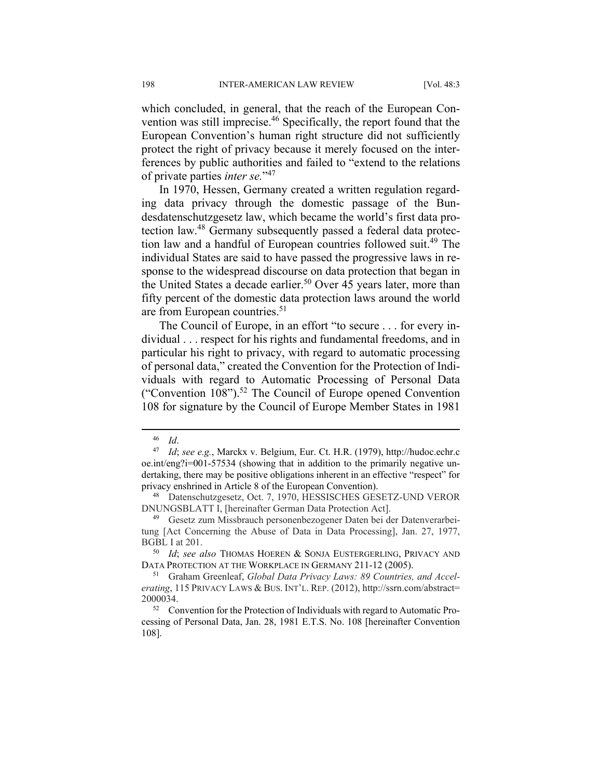which concluded, in general, that the reach of the European Convention was still imprecise.<sup>46</sup> Specifically, the report found that the European Convention's human right structure did not sufficiently protect the right of privacy because it merely focused on the interferences by public authorities and failed to "extend to the relations of private parties *inter se.*"<sup>47</sup>

In 1970, Hessen, Germany created a written regulation regarding data privacy through the domestic passage of the Bundesdatenschutzgesetz law, which became the world's first data protection law.48 Germany subsequently passed a federal data protection law and a handful of European countries followed suit.49 The individual States are said to have passed the progressive laws in response to the widespread discourse on data protection that began in the United States a decade earlier.<sup>50</sup> Over 45 years later, more than fifty percent of the domestic data protection laws around the world are from European countries.<sup>51</sup>

The Council of Europe, in an effort "to secure . . . for every individual . . . respect for his rights and fundamental freedoms, and in particular his right to privacy, with regard to automatic processing of personal data," created the Convention for the Protection of Individuals with regard to Automatic Processing of Personal Data ("Convention  $108$ ").<sup>52</sup> The Council of Europe opened Convention 108 for signature by the Council of Europe Member States in 1981

<sup>46</sup> *Id*. 47 *Id*; *see e.g.*, Marckx v. Belgium, Eur. Ct. H.R. (1979), http://hudoc.echr.c oe.int/eng?i=001-57534 (showing that in addition to the primarily negative undertaking, there may be positive obligations inherent in an effective "respect" for privacy enshrined in Article 8 of the European Convention).<br><sup>48</sup> Datenschutzgesetz, Oct. 7, 1970, HESSISCHES GESETZ-UND VEROR

DNUNGSBLATT I, [hereinafter German Data Protection Act].

<sup>49</sup> Gesetz zum Missbrauch personenbezogener Daten bei der Datenverarbeitung [Act Concerning the Abuse of Data in Data Processing], Jan. 27, 1977, BGBL I at 201.

<sup>&</sup>lt;sup>50</sup> Id; see also ThOMAS HOEREN & SONJA EUSTERGERLING, PRIVACY AND DATA PROTECTION AT THE WORKPLACE IN GERMANY 211-12 (2005).

<sup>&</sup>lt;sup>51</sup> Graham Greenleaf, *Global Data Privacy Laws: 89 Countries, and Accelerating*, 115 PRIVACY LAWS & BUS. INT'L. REP. (2012), http://ssrn.com/abstract= 2000034. 52 Convention for the Protection of Individuals with regard to Automatic Pro-

cessing of Personal Data, Jan. 28, 1981 E.T.S. No. 108 [hereinafter Convention 108].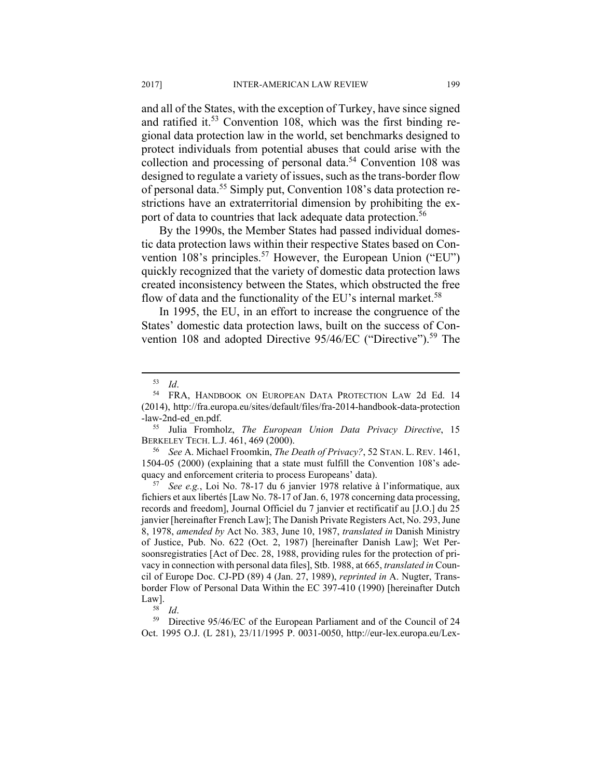and all of the States, with the exception of Turkey, have since signed and ratified it.<sup>53</sup> Convention 108, which was the first binding regional data protection law in the world, set benchmarks designed to protect individuals from potential abuses that could arise with the collection and processing of personal data.<sup>54</sup> Convention 108 was designed to regulate a variety of issues, such as the trans-border flow of personal data.55 Simply put, Convention 108's data protection restrictions have an extraterritorial dimension by prohibiting the export of data to countries that lack adequate data protection.<sup>56</sup>

By the 1990s, the Member States had passed individual domestic data protection laws within their respective States based on Convention 108's principles.<sup>57</sup> However, the European Union ("EU") quickly recognized that the variety of domestic data protection laws created inconsistency between the States, which obstructed the free flow of data and the functionality of the EU's internal market.<sup>58</sup>

In 1995, the EU, in an effort to increase the congruence of the States' domestic data protection laws, built on the success of Convention 108 and adopted Directive 95/46/EC ("Directive").<sup>59</sup> The

1504-05 (2000) (explaining that a state must fulfill the Convention 108's adequacy and enforcement criteria to process Europeans' data). 57 *See e.g.*, Loi No. 78-17 du 6 janvier 1978 relative à l'informatique, aux

fichiers et aux libertés [Law No. 78-17 of Jan. 6, 1978 concerning data processing, records and freedom], Journal Officiel du 7 janvier et rectificatif au [J.O.] du 25 janvier [hereinafter French Law]; The Danish Private Registers Act, No. 293, June 8, 1978, *amended by* Act No. 383, June 10, 1987, *translated in* Danish Ministry of Justice, Pub. No. 622 (Oct. 2, 1987) [hereinafter Danish Law]; Wet Persoonsregistraties [Act of Dec. 28, 1988, providing rules for the protection of privacy in connection with personal data files], Stb. 1988, at 665, *translated in* Council of Europe Doc. CJ-PD (89) 4 (Jan. 27, 1989), *reprinted in* A. Nugter, Transborder Flow of Personal Data Within the EC 397-410 (1990) [hereinafter Dutch

Law].<br><sup>58</sup> *Id.* <sup>59</sup> Directive 95/46/EC of the European Parliament and of the Council of 24 Oct. 1995 O.J. (L 281), 23/11/1995 P. 0031-0050, http://eur-lex.europa.eu/Lex-

<sup>53</sup> *Id*. 54 FRA, HANDBOOK ON EUROPEAN DATA PROTECTION LAW 2d Ed. 14 (2014), http://fra.europa.eu/sites/default/files/fra-2014-handbook-data-protection

<sup>-</sup>law-2nd-ed\_en.pdf. 55 Julia Fromholz, *The European Union Data Privacy Directive*, 15 BERKELEY TECH. L.J. 461, 469 (2000). 56 *See* A. Michael Froomkin, *The Death of Privacy?*, 52 STAN. L. REV. 1461,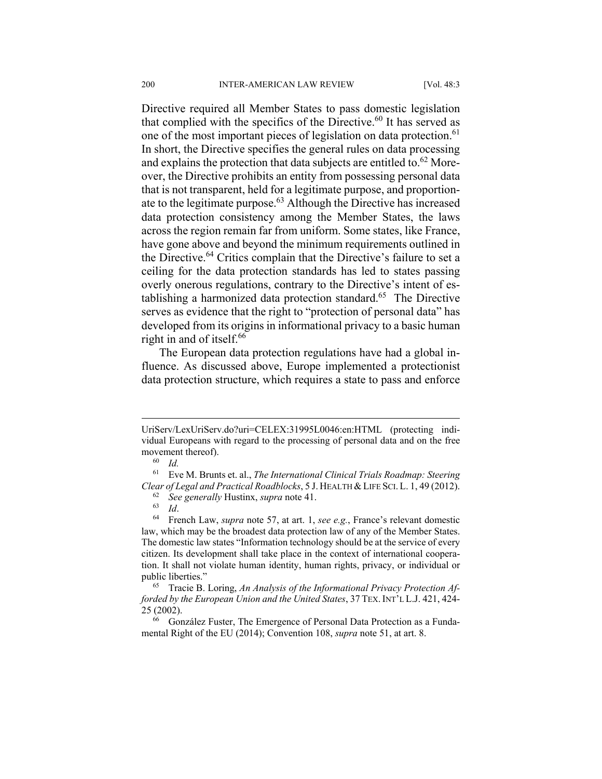Directive required all Member States to pass domestic legislation that complied with the specifics of the Directive.<sup>60</sup> It has served as one of the most important pieces of legislation on data protection.<sup>61</sup> In short, the Directive specifies the general rules on data processing and explains the protection that data subjects are entitled to.<sup>62</sup> Moreover, the Directive prohibits an entity from possessing personal data that is not transparent, held for a legitimate purpose, and proportionate to the legitimate purpose.63 Although the Directive has increased data protection consistency among the Member States, the laws across the region remain far from uniform. Some states, like France, have gone above and beyond the minimum requirements outlined in the Directive.64 Critics complain that the Directive's failure to set a ceiling for the data protection standards has led to states passing overly onerous regulations, contrary to the Directive's intent of establishing a harmonized data protection standard.<sup>65</sup> The Directive serves as evidence that the right to "protection of personal data" has developed from its origins in informational privacy to a basic human right in and of itself.<sup>66</sup>

The European data protection regulations have had a global influence. As discussed above, Europe implemented a protectionist data protection structure, which requires a state to pass and enforce

UriServ/LexUriServ.do?uri=CELEX:31995L0046:en:HTML (protecting individual Europeans with regard to the processing of personal data and on the free movement thereof).<br><sup>60</sup> *Id.* 

<sup>61</sup> Eve M. Brunts et. al., *The International Clinical Trials Roadmap: Steering*  Clear of Legal and Practical Roadblocks, 5 J. HEALTH & LIFE SCI. L. 1, 49 (2012).<br>
<sup>62</sup> See generally Hustinx, *supra* note 41.<br>
<sup>63</sup> Id.<br>
<sup>64</sup> French Law, *supra* note 57, at art. 1, *see e.g.*, France's relevant domesti

law, which may be the broadest data protection law of any of the Member States. The domestic law states "Information technology should be at the service of every citizen. Its development shall take place in the context of international cooperation. It shall not violate human identity, human rights, privacy, or individual or public liberties."<br><sup>65</sup> Tracie B. Loring, An Analysis of the Informational Privacy Protection Af-

*forded by the European Union and the United States*, 37 TEX. INT'L L.J. 421, 424- 25 (2002).<br><sup>66</sup> González Fuster, The Emergence of Personal Data Protection as a Funda-

mental Right of the EU (2014); Convention 108, *supra* note 51, at art. 8.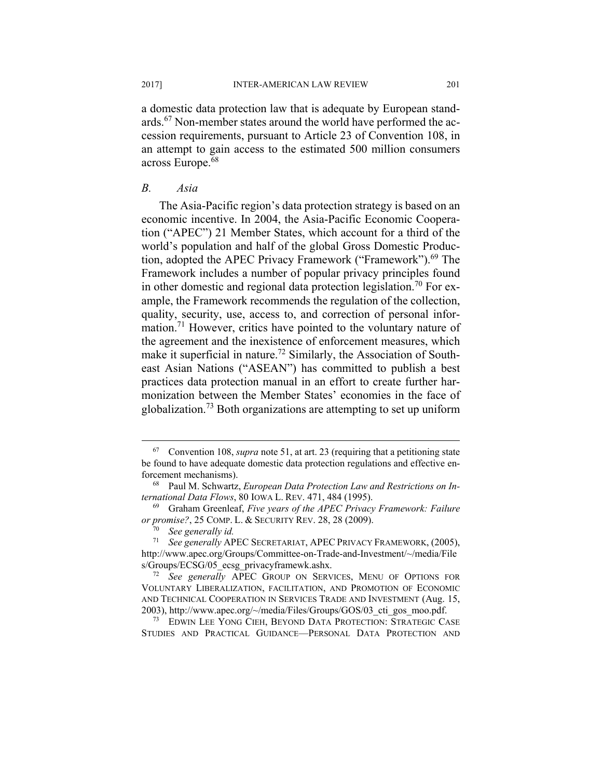a domestic data protection law that is adequate by European standards.67 Non-member states around the world have performed the accession requirements, pursuant to Article 23 of Convention 108, in an attempt to gain access to the estimated 500 million consumers across Europe.<sup>68</sup>

# *B. Asia*

The Asia-Pacific region's data protection strategy is based on an economic incentive. In 2004, the Asia-Pacific Economic Cooperation ("APEC") 21 Member States, which account for a third of the world's population and half of the global Gross Domestic Production, adopted the APEC Privacy Framework ("Framework").<sup>69</sup> The Framework includes a number of popular privacy principles found in other domestic and regional data protection legislation.<sup>70</sup> For example, the Framework recommends the regulation of the collection, quality, security, use, access to, and correction of personal information.71 However, critics have pointed to the voluntary nature of the agreement and the inexistence of enforcement measures, which make it superficial in nature.<sup>72</sup> Similarly, the Association of Southeast Asian Nations ("ASEAN") has committed to publish a best practices data protection manual in an effort to create further harmonization between the Member States' economies in the face of globalization.<sup>73</sup> Both organizations are attempting to set up uniform

STUDIES AND PRACTICAL GUIDANCE—PERSONAL DATA PROTECTION AND

 <sup>67</sup> Convention 108, *supra* note 51, at art. 23 (requiring that a petitioning state be found to have adequate domestic data protection regulations and effective enforcement mechanisms). 68 Paul M. Schwartz, *European Data Protection Law and Restrictions on In-*

*ternational Data Flows*, 80 IOWA L. REV. 471, 484 (1995).<br><sup>69</sup> Graham Greenleaf, *Five years of the APEC Privacy Framework: Failure* 

*or promise?*, 25 COMP. L. & SECURITY REV. 28, 28 (2009).

<sup>70</sup> *See generally id.* 

<sup>71</sup> *See generally* APEC SECRETARIAT, APEC PRIVACY FRAMEWORK, (2005), http://www.apec.org/Groups/Committee-on-Trade-and-Investment/~/media/File s/Groups/ECSG/05\_ecsg\_privacyframewk.ashx. 72 *See generally* APEC GROUP ON SERVICES, MENU OF OPTIONS FOR

VOLUNTARY LIBERALIZATION, FACILITATION, AND PROMOTION OF ECONOMIC AND TECHNICAL COOPERATION IN SERVICES TRADE AND INVESTMENT (Aug. 15, 2003), http://www.apec.org/~/media/Files/Groups/GOS/03\_cti\_gos\_moo.pdf. 73 EDWIN LEE YONG CIEH, BEYOND DATA PROTECTION: STRATEGIC CASE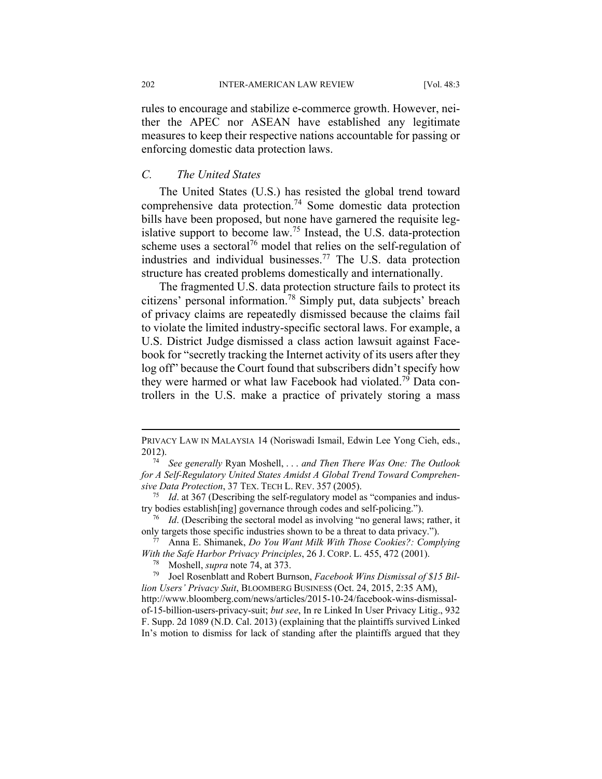202 INTER-AMERICAN LAW REVIEW [Vol. 48:3

rules to encourage and stabilize e-commerce growth. However, neither the APEC nor ASEAN have established any legitimate measures to keep their respective nations accountable for passing or enforcing domestic data protection laws.

# *C. The United States*

The United States (U.S.) has resisted the global trend toward comprehensive data protection.74 Some domestic data protection bills have been proposed, but none have garnered the requisite legislative support to become law.<sup>75</sup> Instead, the U.S. data-protection scheme uses a sectoral<sup>76</sup> model that relies on the self-regulation of industries and individual businesses.77 The U.S. data protection structure has created problems domestically and internationally.

The fragmented U.S. data protection structure fails to protect its citizens' personal information.78 Simply put, data subjects' breach of privacy claims are repeatedly dismissed because the claims fail to violate the limited industry-specific sectoral laws. For example, a U.S. District Judge dismissed a class action lawsuit against Facebook for "secretly tracking the Internet activity of its users after they log off" because the Court found that subscribers didn't specify how they were harmed or what law Facebook had violated.<sup>79</sup> Data controllers in the U.S. make a practice of privately storing a mass

<u>.</u>

PRIVACY LAW IN MALAYSIA 14 (Noriswadi Ismail, Edwin Lee Yong Cieh, eds., 2012). 74 *See generally* Ryan Moshell, . . . *and Then There Was One: The Outlook* 

*for A Self-Regulatory United States Amidst A Global Trend Toward Comprehen-*

*sive Data Protection*, 37 TEX. TECH L. REV. 357 (2005).<br><sup>75</sup> *Id.* at 367 (Describing the self-regulatory model as "companies and indus-<br>try bodies establish[ing] governance through codes and self-policing.").

<sup>&</sup>lt;sup>76</sup> Id. (Describing the sectoral model as involving "no general laws; rather, it

only targets those specific industries shown to be a threat to data privacy."). 77 Anna E. Shimanek, *Do You Want Milk With Those Cookies?: Complying With the Safe Harbor Privacy Principles*, 26 J. CORP. L. 455, 472 (2001).<br><sup>78</sup> Moshell, *supra* note 74, at 373.<br><sup>79</sup> Joel Rosenblatt and Robert Burnson, *Facebook Wins Dismissal of \$15 Bil-*

*lion Users' Privacy Suit*, BLOOMBERG BUSINESS (Oct. 24, 2015, 2:35 AM), http://www.bloomberg.com/news/articles/2015-10-24/facebook-wins-dismissal-

of-15-billion-users-privacy-suit; *but see*, In re Linked In User Privacy Litig., 932 F. Supp. 2d 1089 (N.D. Cal. 2013) (explaining that the plaintiffs survived Linked In's motion to dismiss for lack of standing after the plaintiffs argued that they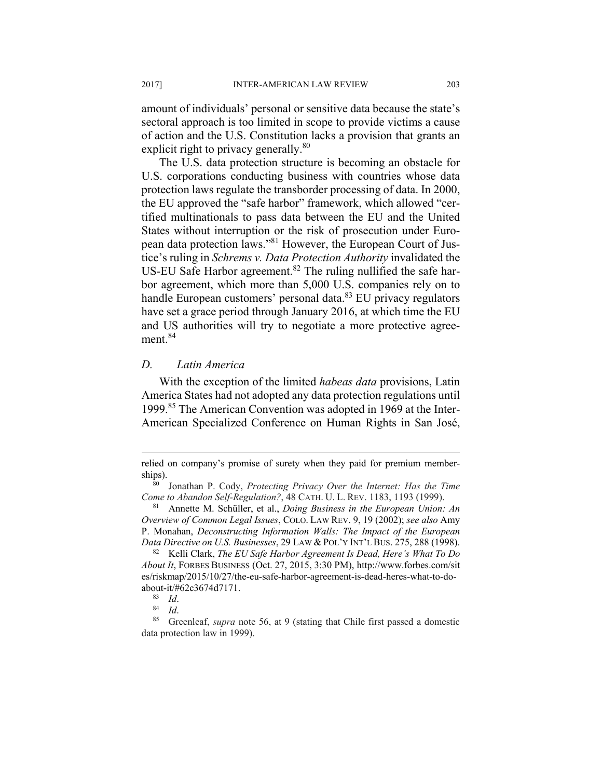amount of individuals' personal or sensitive data because the state's sectoral approach is too limited in scope to provide victims a cause of action and the U.S. Constitution lacks a provision that grants an explicit right to privacy generally.<sup>80</sup>

The U.S. data protection structure is becoming an obstacle for U.S. corporations conducting business with countries whose data protection laws regulate the transborder processing of data. In 2000, the EU approved the "safe harbor" framework, which allowed "certified multinationals to pass data between the EU and the United States without interruption or the risk of prosecution under European data protection laws."81 However, the European Court of Justice's ruling in *Schrems v. Data Protection Authority* invalidated the US-EU Safe Harbor agreement.<sup>82</sup> The ruling nullified the safe harbor agreement, which more than 5,000 U.S. companies rely on to handle European customers' personal data. $83$  EU privacy regulators have set a grace period through January 2016, at which time the EU and US authorities will try to negotiate a more protective agreement.<sup>84</sup>

#### *D. Latin America*

With the exception of the limited *habeas data* provisions, Latin America States had not adopted any data protection regulations until 1999.85 The American Convention was adopted in 1969 at the Inter-American Specialized Conference on Human Rights in San José,

relied on company's promise of surety when they paid for premium memberships).<br><sup>80</sup> Jonathan P. Cody, *Protecting Privacy Over the Internet: Has the Time* 

*Come to Abandon Self-Regulation?*, 48 CATH. U. L. REV. 1183, 1193 (1999).<br><sup>81</sup> Annette M. Schüller, et al., *Doing Business in the European Union: An* 

*Overview of Common Legal Issues*, COLO. LAW REV. 9, 19 (2002); *see also* Amy P. Monahan, *Deconstructing Information Walls: The Impact of the European* 

*Data Directive on U.S. Businesses*, 29 LAW & POL'Y INT'L BUS. 275, 288 (1998). <sup>82</sup> Kelli Clark, *The EU Safe Harbor Agreement Is Dead, Here's What To Do About It*, FORBES BUSINESS (Oct. 27, 2015, 3:30 PM), http://www.forbes.com/sit es/riskmap/2015/10/27/the-eu-safe-harbor-agreement-is-dead-heres-what-to-do-

about-it/#62c3674d7171.<br><sup>83</sup> *Id.* 84<br><sup>84</sup> *Id.* 85 Greenleaf, *supra* note 56, at 9 (stating that Chile first passed a domestic data protection law in 1999).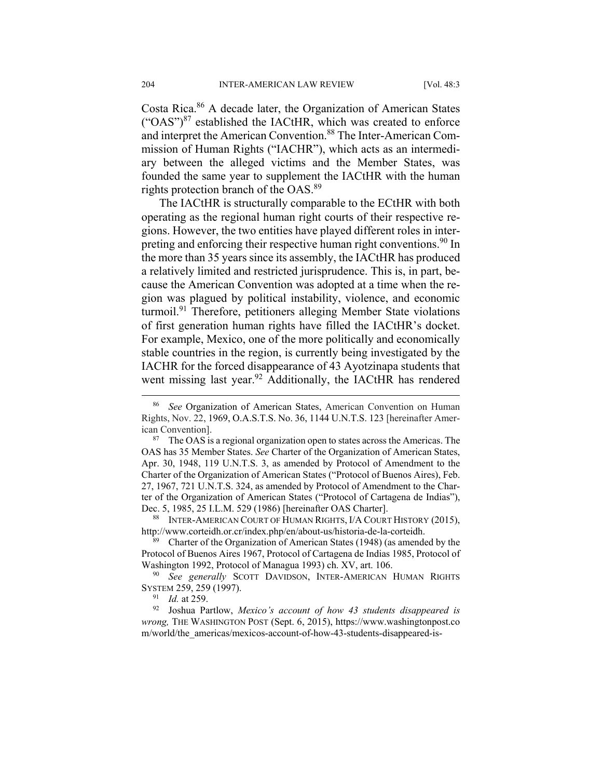Costa Rica.86 A decade later, the Organization of American States  $({}^{\circ}OAS^{\circ})^{87}$  established the IACtHR, which was created to enforce and interpret the American Convention.<sup>88</sup> The Inter-American Commission of Human Rights ("IACHR"), which acts as an intermediary between the alleged victims and the Member States, was founded the same year to supplement the IACtHR with the human rights protection branch of the OAS.<sup>89</sup>

The IACtHR is structurally comparable to the ECtHR with both operating as the regional human right courts of their respective regions. However, the two entities have played different roles in interpreting and enforcing their respective human right conventions.<sup>90</sup> In the more than 35 years since its assembly, the IACtHR has produced a relatively limited and restricted jurisprudence. This is, in part, because the American Convention was adopted at a time when the region was plagued by political instability, violence, and economic turmoil.<sup>91</sup> Therefore, petitioners alleging Member State violations of first generation human rights have filled the IACtHR's docket. For example, Mexico, one of the more politically and economically stable countries in the region, is currently being investigated by the IACHR for the forced disappearance of 43 Ayotzinapa students that went missing last year.<sup>92</sup> Additionally, the IACtHR has rendered

http://www.corteidh.or.cr/index.php/en/about-us/historia-de-la-corteidh.<br><sup>89</sup> Charter of the Organization of American States (1948) (as amended by the

Protocol of Buenos Aires 1967, Protocol of Cartagena de Indias 1985, Protocol of

Washington 1992, Protocol of Managua 1993) ch. XV, art. 106.<br><sup>90</sup> *See generally* SCOTT DAVIDSON, INTER-AMERICAN HUMAN RIGHTS SYSTEM 259, 259 (1997).

<sup>91</sup> *Id.* at 259.<br><sup>92</sup> Joshua Partlow, *Mexico's account of how 43 students disappeared is wrong,* THE WASHINGTON POST (Sept. 6, 2015), https://www.washingtonpost.co m/world/the\_americas/mexicos-account-of-how-43-students-disappeared-is-

See Organization of American States, American Convention on Human Rights, Nov. 22, 1969, O.A.S.T.S. No. 36, 1144 U.N.T.S. 123 [hereinafter American Convention].

 $87$  The OAS is a regional organization open to states across the Americas. The OAS has 35 Member States. *See* Charter of the Organization of American States, Apr. 30, 1948, 119 U.N.T.S. 3, as amended by Protocol of Amendment to the Charter of the Organization of American States ("Protocol of Buenos Aires), Feb. 27, 1967, 721 U.N.T.S. 324, as amended by Protocol of Amendment to the Charter of the Organization of American States ("Protocol of Cartagena de Indias"), Dec. 5, 1985, 25 I.L.M. 529 (1986) [hereinafter OAS Charter].<br><sup>88</sup> INTER-AMERICAN COURT OF HUMAN RIGHTS, I/A COURT HISTORY (2015),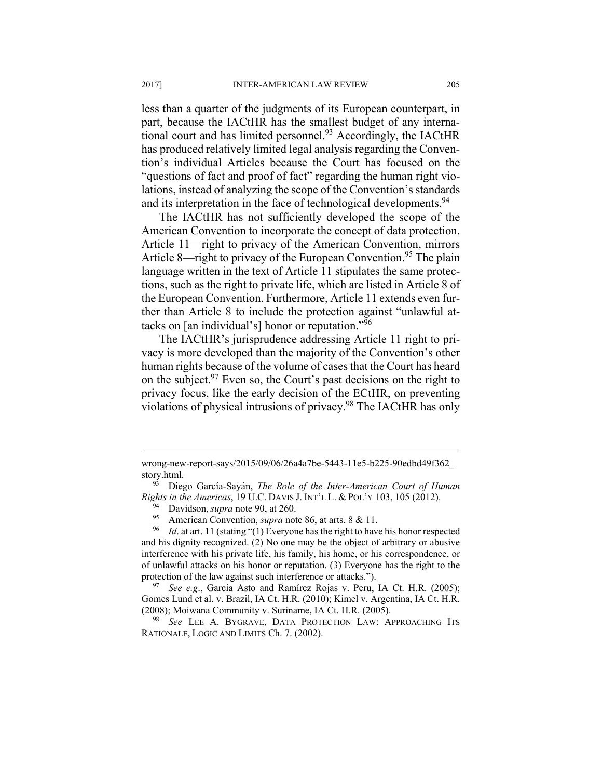less than a quarter of the judgments of its European counterpart, in part, because the IACtHR has the smallest budget of any international court and has limited personnel.<sup>93</sup> Accordingly, the IACtHR has produced relatively limited legal analysis regarding the Convention's individual Articles because the Court has focused on the "questions of fact and proof of fact" regarding the human right violations, instead of analyzing the scope of the Convention's standards and its interpretation in the face of technological developments.<sup>94</sup>

The IACtHR has not sufficiently developed the scope of the American Convention to incorporate the concept of data protection. Article 11—right to privacy of the American Convention, mirrors Article 8—right to privacy of the European Convention.<sup>95</sup> The plain language written in the text of Article 11 stipulates the same protections, such as the right to private life, which are listed in Article 8 of the European Convention. Furthermore, Article 11 extends even further than Article 8 to include the protection against "unlawful attacks on [an individual's] honor or reputation."96

The IACtHR's jurisprudence addressing Article 11 right to privacy is more developed than the majority of the Convention's other human rights because of the volume of cases that the Court has heard on the subject. $97$  Even so, the Court's past decisions on the right to privacy focus, like the early decision of the ECtHR, on preventing violations of physical intrusions of privacy.98 The IACtHR has only

wrong-new-report-says/2015/09/06/26a4a7be-5443-11e5-b225-90edbd49f362\_ story.html. 93 Diego García-Sayán, *The Role of the Inter-American Court of Human* 

Rights in the Americas, 19 U.C. DAVIS J. INT'L L. & POL'Y 103, 105 (2012).<br><sup>94</sup> Davidson, *supra* note 90, at 260.<br><sup>95</sup> American Convention, *supra* note 86, at arts. 8 & 11.<br><sup>96</sup> Id. at art. 11 (stating "(1) Everyone has

and his dignity recognized. (2) No one may be the object of arbitrary or abusive interference with his private life, his family, his home, or his correspondence, or of unlawful attacks on his honor or reputation. (3) Everyone has the right to the protection of the law against such interference or attacks.").<br><sup>97</sup> *See e.g.*, García Asto and Ramírez Rojas v. Peru, IA Ct. H.R. (2005);

Gomes Lund et al. v. Brazil, IA Ct. H.R. (2010); Kimel v. Argentina, IA Ct. H.R. (2008); Moiwana Community v. Suriname, IA Ct. H.R. (2005). 98 *See* LEE A. BYGRAVE, DATA PROTECTION LAW: APPROACHING ITS

RATIONALE, LOGIC AND LIMITS Ch. 7. (2002).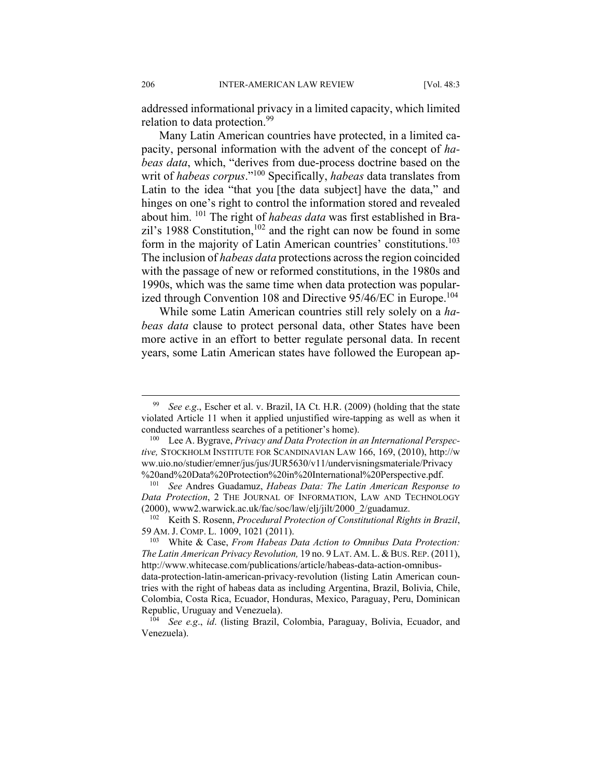addressed informational privacy in a limited capacity, which limited relation to data protection.<sup>99</sup>

Many Latin American countries have protected, in a limited capacity, personal information with the advent of the concept of *habeas data*, which, "derives from due-process doctrine based on the writ of *habeas corpus*."100 Specifically, *habeas* data translates from Latin to the idea "that you [the data subject] have the data," and hinges on one's right to control the information stored and revealed about him. 101 The right of *habeas data* was first established in Brazil's 1988 Constitution,  $102$  and the right can now be found in some form in the majority of Latin American countries' constitutions.<sup>103</sup> The inclusion of *habeas data* protections across the region coincided with the passage of new or reformed constitutions, in the 1980s and 1990s, which was the same time when data protection was popularized through Convention 108 and Directive 95/46/EC in Europe.<sup>104</sup>

While some Latin American countries still rely solely on a *habeas data* clause to protect personal data, other States have been more active in an effort to better regulate personal data. In recent years, some Latin American states have followed the European ap-

 <sup>99</sup> *See e.g*., Escher et al. v. Brazil, IA Ct. H.R. (2009) (holding that the state violated Article 11 when it applied unjustified wire-tapping as well as when it conducted warrantless searches of a petitioner's home). 100 Lee A. Bygrave, *Privacy and Data Protection in an International Perspec-*

*tive,* STOCKHOLM INSTITUTE FOR SCANDINAVIAN LAW 166, 169, (2010), http://w ww.uio.no/studier/emner/jus/jus/JUR5630/v11/undervisningsmateriale/Privacy %20and%20Data%20Protection%20in%20International%20Perspective.pdf. 101 *See* Andres Guadamuz, *Habeas Data: The Latin American Response to* 

*Data Protection*, 2 THE JOURNAL OF INFORMATION, LAW AND TECHNOLOGY (2000), www2.warwick.ac.uk/fac/soc/law/elj/jilt/2000\_2/guadamuz. 102 Keith S. Rosenn, *Procedural Protection of Constitutional Rights in Brazil*,

<sup>59</sup> AM. J. COMP. L. 1009, 1021 (2011).<br><sup>103</sup> White & Case, *From Habeas Data Action to Omnibus Data Protection:* 

*The Latin American Privacy Revolution,* 19 no. 9 LAT. AM.L.&BUS.REP. (2011), http://www.whitecase.com/publications/article/habeas-data-action-omnibusdata-protection-latin-american-privacy-revolution (listing Latin American countries with the right of habeas data as including Argentina, Brazil, Bolivia, Chile, Colombia, Costa Rica, Ecuador, Honduras, Mexico, Paraguay, Peru, Dominican

Republic, Uruguay and Venezuela). 104 *See e.g*., *id*. (listing Brazil, Colombia, Paraguay, Bolivia, Ecuador, and Venezuela).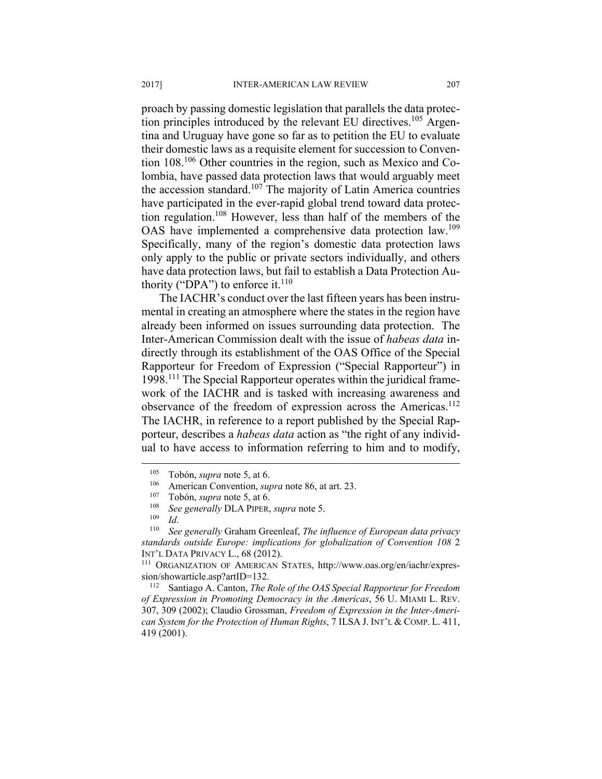proach by passing domestic legislation that parallels the data protection principles introduced by the relevant EU directives.<sup>105</sup> Argentina and Uruguay have gone so far as to petition the EU to evaluate their domestic laws as a requisite element for succession to Convention 108.106 Other countries in the region, such as Mexico and Colombia, have passed data protection laws that would arguably meet the accession standard.<sup>107</sup> The majority of Latin America countries have participated in the ever-rapid global trend toward data protection regulation.108 However, less than half of the members of the OAS have implemented a comprehensive data protection law.109 Specifically, many of the region's domestic data protection laws only apply to the public or private sectors individually, and others have data protection laws, but fail to establish a Data Protection Authority ("DPA") to enforce it.<sup>110</sup>

The IACHR's conduct over the last fifteen years has been instrumental in creating an atmosphere where the states in the region have already been informed on issues surrounding data protection. The Inter-American Commission dealt with the issue of *habeas data* indirectly through its establishment of the OAS Office of the Special Rapporteur for Freedom of Expression ("Special Rapporteur") in 1998.111 The Special Rapporteur operates within the juridical framework of the IACHR and is tasked with increasing awareness and observance of the freedom of expression across the Americas.<sup>112</sup> The IACHR, in reference to a report published by the Special Rapporteur, describes a *habeas data* action as "the right of any individual to have access to information referring to him and to modify,

 $\overline{a}$ 

sion/showarticle.asp?artID=132. 112 Santiago A. Canton, *The Role of the OAS Special Rapporteur for Freedom* 

*of Expression in Promoting Democracy in the Americas*, 56 U. MIAMI L. REV. 307, 309 (2002); Claudio Grossman, *Freedom of Expression in the Inter-American System for the Protection of Human Rights*, 7 ILSA J. INT'L & COMP. L. 411, 419 (2001).

<sup>&</sup>lt;sup>105</sup> Tobón, *supra* note 5, at 6.<br>
<sup>106</sup> American Convention, *supra* note 86, at art. 23.<br>
<sup>107</sup> Tobón, *supra* note 5, at 6.<br>
<sup>108</sup> *See generally* DLA PIPER, *supra* note 5.<br>
<sup>109</sup> *Id.*<br>
<sup>109</sup> *Id.*<br>
See generally Gr *standards outside Europe: implications for globalization of Convention 108* 2 INT'L DATA PRIVACY L., 68 (2012).<br><sup>111</sup> ORGANIZATION OF AMERICAN STATES, http://www.oas.org/en/iachr/expres-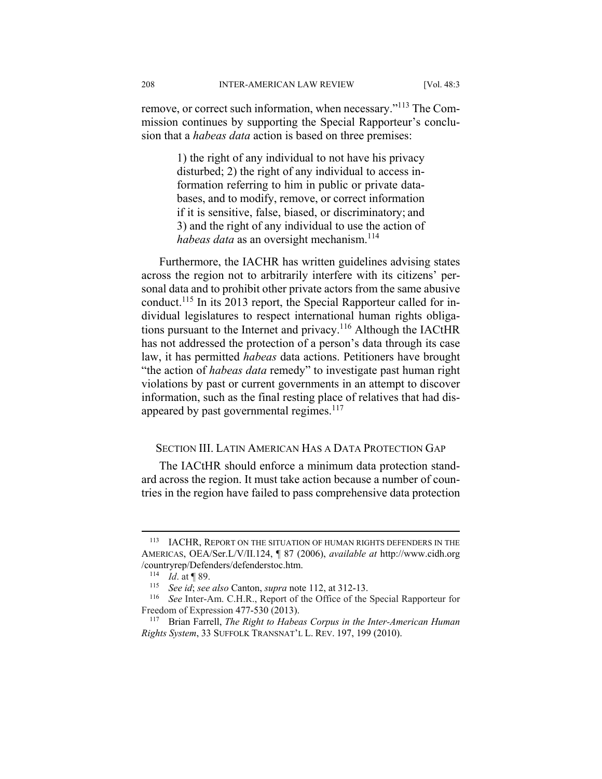remove, or correct such information, when necessary."113 The Commission continues by supporting the Special Rapporteur's conclusion that a *habeas data* action is based on three premises:

> 1) the right of any individual to not have his privacy disturbed; 2) the right of any individual to access information referring to him in public or private databases, and to modify, remove, or correct information if it is sensitive, false, biased, or discriminatory; and 3) and the right of any individual to use the action of *habeas data* as an oversight mechanism.<sup>114</sup>

Furthermore, the IACHR has written guidelines advising states across the region not to arbitrarily interfere with its citizens' personal data and to prohibit other private actors from the same abusive conduct.115 In its 2013 report, the Special Rapporteur called for individual legislatures to respect international human rights obligations pursuant to the Internet and privacy.<sup>116</sup> Although the IACtHR has not addressed the protection of a person's data through its case law, it has permitted *habeas* data actions. Petitioners have brought "the action of *habeas data* remedy" to investigate past human right violations by past or current governments in an attempt to discover information, such as the final resting place of relatives that had disappeared by past governmental regimes.<sup>117</sup>

# SECTION III. LATIN AMERICAN HAS A DATA PROTECTION GAP

The IACtHR should enforce a minimum data protection standard across the region. It must take action because a number of countries in the region have failed to pass comprehensive data protection

<sup>113</sup> IACHR, REPORT ON THE SITUATION OF HUMAN RIGHTS DEFENDERS IN THE AMERICAS, OEA/Ser.L/V/II.124, ¶ 87 (2006), *available at* http://www.cidh.org /countryrep/Defenders/defenderstoc.htm. 114 *Id*. at ¶ 89.

<sup>115</sup> *See id*; *see also* Canton, *supra* note 112, at 312-13. 116 *See* Inter-Am. C.H.R., Report of the Office of the Special Rapporteur for Freedom of Expression 477-530 (2013).<br><sup>117</sup> Brian Farrell, *The Right to Habeas Corpus in the Inter-American Human* 

*Rights System*, 33 SUFFOLK TRANSNAT'L L. REV. 197, 199 (2010).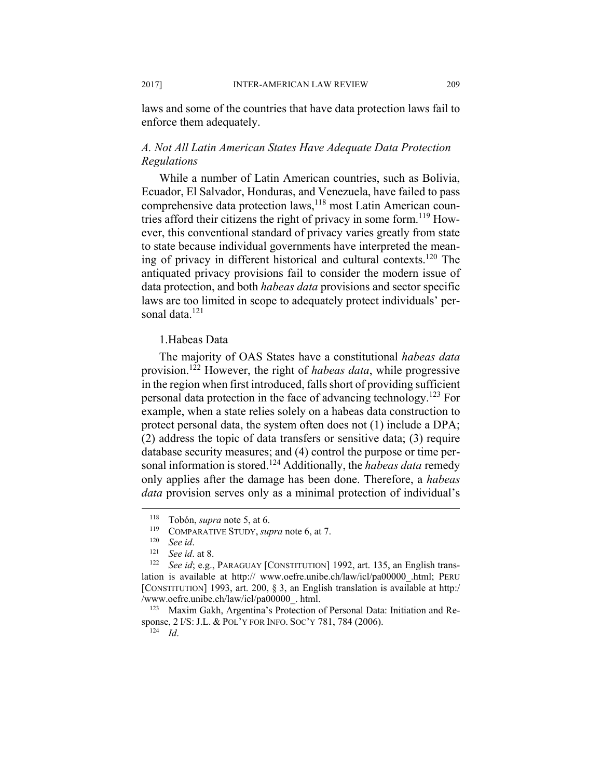laws and some of the countries that have data protection laws fail to enforce them adequately.

# *A. Not All Latin American States Have Adequate Data Protection Regulations*

While a number of Latin American countries, such as Bolivia, Ecuador, El Salvador, Honduras, and Venezuela, have failed to pass comprehensive data protection laws,<sup>118</sup> most Latin American countries afford their citizens the right of privacy in some form.119 However, this conventional standard of privacy varies greatly from state to state because individual governments have interpreted the meaning of privacy in different historical and cultural contexts.120 The antiquated privacy provisions fail to consider the modern issue of data protection, and both *habeas data* provisions and sector specific laws are too limited in scope to adequately protect individuals' personal data.<sup>121</sup>

#### 1.Habeas Data

The majority of OAS States have a constitutional *habeas data* provision.122 However, the right of *habeas data*, while progressive in the region when first introduced, falls short of providing sufficient personal data protection in the face of advancing technology.123 For example, when a state relies solely on a habeas data construction to protect personal data, the system often does not (1) include a DPA; (2) address the topic of data transfers or sensitive data; (3) require database security measures; and (4) control the purpose or time personal information is stored.124 Additionally, the *habeas data* remedy only applies after the damage has been done. Therefore, a *habeas data* provision serves only as a minimal protection of individual's

<sup>&</sup>lt;sup>118</sup> Tobón, *supra* note 5, at 6.<br>
<sup>119</sup> COMPARATIVE STUDY, *supra* note 6, at 7.<br>
<sup>120</sup> See id. at 8.<br>
<sup>121</sup> See id. at 8.<br>
<sup>122</sup> See id: e.g., PARAGUAY [CONSTITUTION] 1992, art. 135, an English translation is available at http:// www.oefre.unibe.ch/law/icl/pa00000\_.html; PERU [CONSTITUTION] 1993, art. 200, § 3, an English translation is available at http:/ /www.oefre.unibe.ch/law/icl/pa00000\_. html. 123 Maxim Gakh, Argentina's Protection of Personal Data: Initiation and Re-

sponse, 2 I/S: J.L. & POL'Y FOR INFO. SOC'Y 781, 784 (2006). 124 *Id*.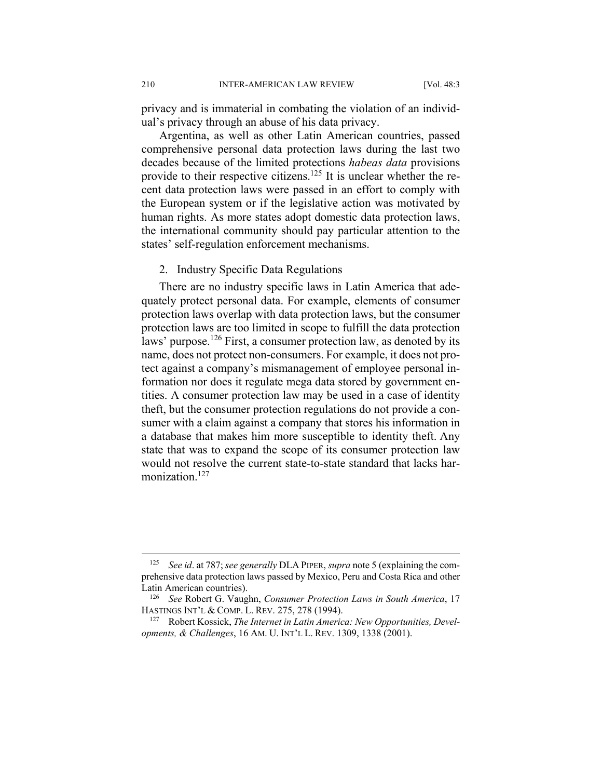privacy and is immaterial in combating the violation of an individual's privacy through an abuse of his data privacy.

Argentina, as well as other Latin American countries, passed comprehensive personal data protection laws during the last two decades because of the limited protections *habeas data* provisions provide to their respective citizens.<sup>125</sup> It is unclear whether the recent data protection laws were passed in an effort to comply with the European system or if the legislative action was motivated by human rights. As more states adopt domestic data protection laws, the international community should pay particular attention to the states' self-regulation enforcement mechanisms.

#### 2. Industry Specific Data Regulations

There are no industry specific laws in Latin America that adequately protect personal data. For example, elements of consumer protection laws overlap with data protection laws, but the consumer protection laws are too limited in scope to fulfill the data protection laws' purpose.<sup>126</sup> First, a consumer protection law, as denoted by its name, does not protect non-consumers. For example, it does not protect against a company's mismanagement of employee personal information nor does it regulate mega data stored by government entities. A consumer protection law may be used in a case of identity theft, but the consumer protection regulations do not provide a consumer with a claim against a company that stores his information in a database that makes him more susceptible to identity theft. Any state that was to expand the scope of its consumer protection law would not resolve the current state-to-state standard that lacks harmonization.<sup>127</sup>

<sup>125</sup> *See id*. at 787; *see generally* DLA PIPER, *supra* note 5 (explaining the comprehensive data protection laws passed by Mexico, Peru and Costa Rica and other Latin American countries). 126 *See* Robert G. Vaughn, *Consumer Protection Laws in South America*, 17

HASTINGS INT'L & COMP. L. REV. 275, 278 (1994).<br><sup>127</sup> Robert Kossick, *The Internet in Latin America: New Opportunities, Devel-*

*opments, & Challenges*, 16 AM. U. INT'L L. REV. 1309, 1338 (2001).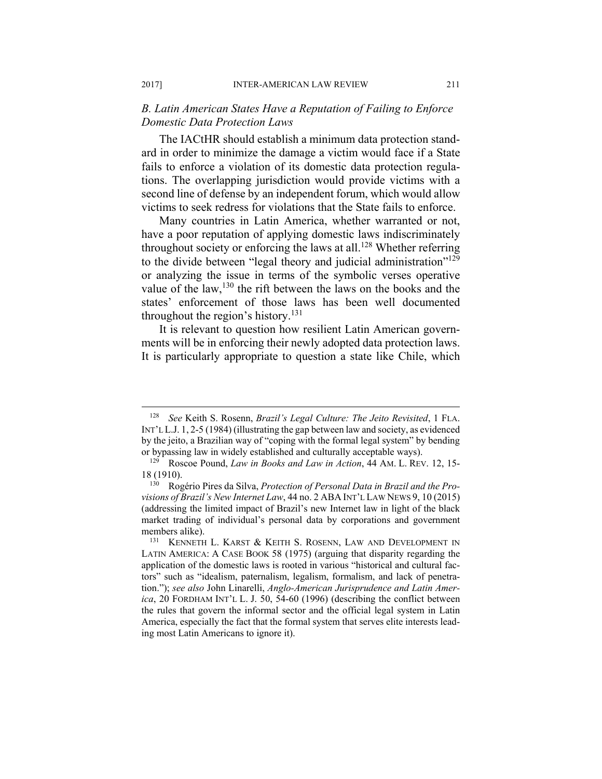# *B. Latin American States Have a Reputation of Failing to Enforce Domestic Data Protection Laws*

The IACtHR should establish a minimum data protection standard in order to minimize the damage a victim would face if a State fails to enforce a violation of its domestic data protection regulations. The overlapping jurisdiction would provide victims with a second line of defense by an independent forum, which would allow victims to seek redress for violations that the State fails to enforce.

Many countries in Latin America, whether warranted or not, have a poor reputation of applying domestic laws indiscriminately throughout society or enforcing the laws at all.<sup>128</sup> Whether referring to the divide between "legal theory and judicial administration"<sup>129</sup> or analyzing the issue in terms of the symbolic verses operative value of the law,  $130$  the rift between the laws on the books and the states' enforcement of those laws has been well documented throughout the region's history.<sup>131</sup>

It is relevant to question how resilient Latin American governments will be in enforcing their newly adopted data protection laws. It is particularly appropriate to question a state like Chile, which

<sup>128</sup> *See* Keith S. Rosenn, *Brazil's Legal Culture: The Jeito Revisited*, 1 FLA. INT'L L.J. 1, 2-5 (1984) (illustrating the gap between law and society, as evidenced by the jeito, a Brazilian way of "coping with the formal legal system" by bending or bypassing law in widely established and culturally acceptable ways). 129 Roscoe Pound, *Law in Books and Law in Action*, 44 AM. L. REV. 12, 15-

<sup>18 (1910). 130</sup> Rogério Pires da Silva, *Protection of Personal Data in Brazil and the Pro-*

*visions of Brazil's New Internet Law*, 44 no. 2 ABA INT'L LAW NEWS 9, 10 (2015) (addressing the limited impact of Brazil's new Internet law in light of the black market trading of individual's personal data by corporations and government members alike).<br><sup>131</sup> KENNETH L. KARST & KEITH S. ROSENN, LAW AND DEVELOPMENT IN

LATIN AMERICA: A CASE BOOK 58 (1975) (arguing that disparity regarding the application of the domestic laws is rooted in various "historical and cultural factors" such as "idealism, paternalism, legalism, formalism, and lack of penetration."); *see also* John Linarelli, *Anglo-American Jurisprudence and Latin America*, 20 FORDHAM INT'L L. J. 50, 54-60 (1996) (describing the conflict between the rules that govern the informal sector and the official legal system in Latin America, especially the fact that the formal system that serves elite interests leading most Latin Americans to ignore it).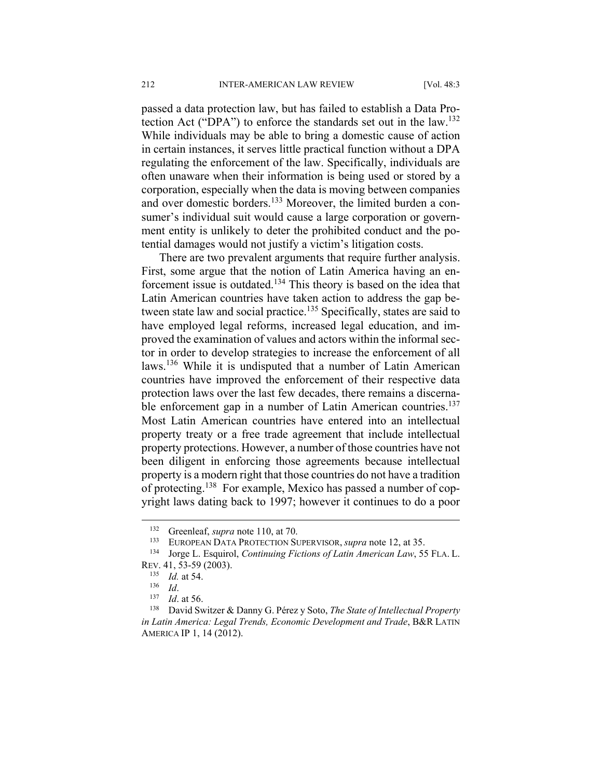passed a data protection law, but has failed to establish a Data Protection Act ("DPA") to enforce the standards set out in the law.132 While individuals may be able to bring a domestic cause of action in certain instances, it serves little practical function without a DPA regulating the enforcement of the law. Specifically, individuals are often unaware when their information is being used or stored by a corporation, especially when the data is moving between companies and over domestic borders.<sup>133</sup> Moreover, the limited burden a consumer's individual suit would cause a large corporation or government entity is unlikely to deter the prohibited conduct and the potential damages would not justify a victim's litigation costs.

There are two prevalent arguments that require further analysis. First, some argue that the notion of Latin America having an enforcement issue is outdated.134 This theory is based on the idea that Latin American countries have taken action to address the gap between state law and social practice.<sup>135</sup> Specifically, states are said to have employed legal reforms, increased legal education, and improved the examination of values and actors within the informal sector in order to develop strategies to increase the enforcement of all laws.136 While it is undisputed that a number of Latin American countries have improved the enforcement of their respective data protection laws over the last few decades, there remains a discernable enforcement gap in a number of Latin American countries.<sup>137</sup> Most Latin American countries have entered into an intellectual property treaty or a free trade agreement that include intellectual property protections. However, a number of those countries have not been diligent in enforcing those agreements because intellectual property is a modern right that those countries do not have a tradition of protecting.138 For example, Mexico has passed a number of copyright laws dating back to 1997; however it continues to do a poor

<sup>132</sup> Greenleaf, *supra* note 110, at 70.<br>
<sup>133</sup> EUROPEAN DATA PROTECTION SUPERVISOR, *supra* note 12, at 35.<br>
<sup>134</sup> Jorge L. Esquirol, *Continuing Fictions of Latin American Law*, 55 FLA. L.

REV. 41, 53-59 (2003).<br><sup>135</sup> *Id.* at 54.<br><sup>136</sup> *Id.* 137 *Id.* at 56.<br><sup>138</sup> David Switzer & Danny G. Pérez y Soto, *The State of Intellectual Property in Latin America: Legal Trends, Economic Development and Trade*, B&R LATIN AMERICA IP 1, 14 (2012).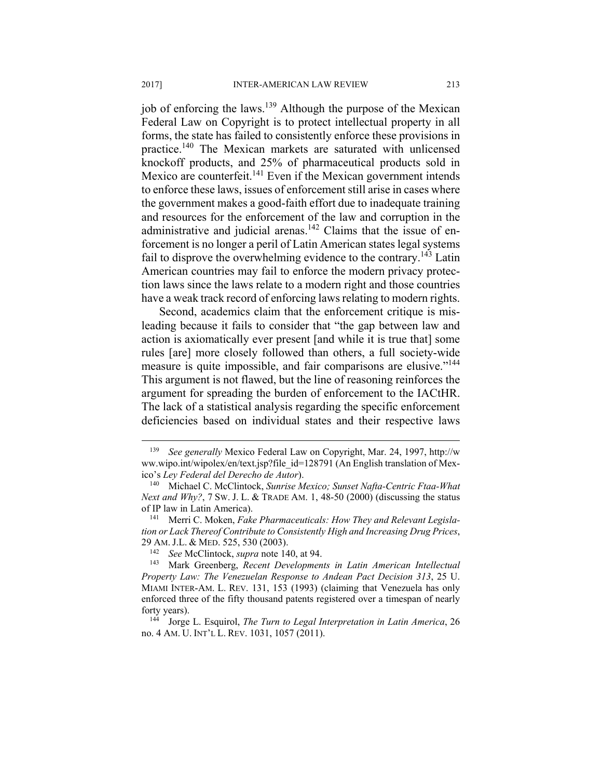job of enforcing the laws.139 Although the purpose of the Mexican Federal Law on Copyright is to protect intellectual property in all forms, the state has failed to consistently enforce these provisions in practice.140 The Mexican markets are saturated with unlicensed knockoff products, and 25% of pharmaceutical products sold in Mexico are counterfeit.<sup>141</sup> Even if the Mexican government intends to enforce these laws, issues of enforcement still arise in cases where the government makes a good-faith effort due to inadequate training and resources for the enforcement of the law and corruption in the administrative and judicial arenas. $142$  Claims that the issue of enforcement is no longer a peril of Latin American states legal systems fail to disprove the overwhelming evidence to the contrary.<sup>143</sup> Latin American countries may fail to enforce the modern privacy protection laws since the laws relate to a modern right and those countries have a weak track record of enforcing laws relating to modern rights.

Second, academics claim that the enforcement critique is misleading because it fails to consider that "the gap between law and action is axiomatically ever present [and while it is true that] some rules [are] more closely followed than others, a full society-wide measure is quite impossible, and fair comparisons are elusive."<sup>144</sup> This argument is not flawed, but the line of reasoning reinforces the argument for spreading the burden of enforcement to the IACtHR. The lack of a statistical analysis regarding the specific enforcement deficiencies based on individual states and their respective laws

<sup>139</sup> *See generally* Mexico Federal Law on Copyright, Mar. 24, 1997, http://w ww.wipo.int/wipolex/en/text.jsp?file\_id=128791 (An English translation of Mexico's *Ley Federal del Derecho de Autor*). 140 Michael C. McClintock, *Sunrise Mexico; Sunset Nafta-Centric Ftaa-What* 

*Next and Why?*, 7 SW. J. L. & TRADE AM. 1, 48-50 (2000) (discussing the status of IP law in Latin America). 141 Merri C. Moken, *Fake Pharmaceuticals: How They and Relevant Legisla-*

*tion or Lack Thereof Contribute to Consistently High and Increasing Drug Prices*, 29 AM. J.L. & MED. 525, 530 (2003).<br><sup>142</sup> See McClintock, *supra* note 140, at 94.<br><sup>143</sup> Mark Greenberg, *Recent Developments in Latin American Intellectual* 

*Property Law: The Venezuelan Response to Andean Pact Decision 313*, 25 U. MIAMI INTER-AM. L. REV. 131, 153 (1993) (claiming that Venezuela has only enforced three of the fifty thousand patents registered over a timespan of nearly forty years). 144 Jorge L. Esquirol, *The Turn to Legal Interpretation in Latin America*, 26

no. 4 AM. U. INT'L L. REV. 1031, 1057 (2011).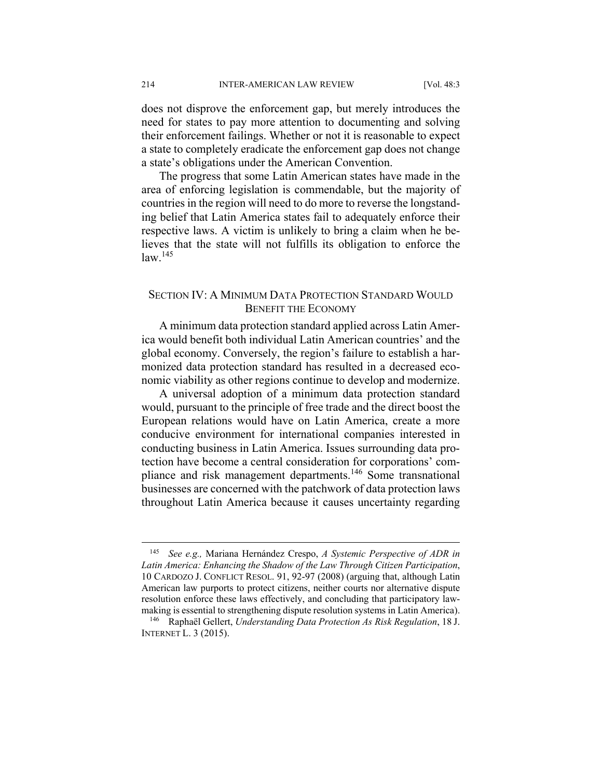does not disprove the enforcement gap, but merely introduces the need for states to pay more attention to documenting and solving their enforcement failings. Whether or not it is reasonable to expect a state to completely eradicate the enforcement gap does not change a state's obligations under the American Convention.

The progress that some Latin American states have made in the area of enforcing legislation is commendable, but the majority of countries in the region will need to do more to reverse the longstanding belief that Latin America states fail to adequately enforce their respective laws. A victim is unlikely to bring a claim when he believes that the state will not fulfills its obligation to enforce the  $law<sup>145</sup>$ 

# SECTION IV: A MINIMUM DATA PROTECTION STANDARD WOULD BENEFIT THE ECONOMY

A minimum data protection standard applied across Latin America would benefit both individual Latin American countries' and the global economy. Conversely, the region's failure to establish a harmonized data protection standard has resulted in a decreased economic viability as other regions continue to develop and modernize.

A universal adoption of a minimum data protection standard would, pursuant to the principle of free trade and the direct boost the European relations would have on Latin America, create a more conducive environment for international companies interested in conducting business in Latin America. Issues surrounding data protection have become a central consideration for corporations' compliance and risk management departments.146 Some transnational businesses are concerned with the patchwork of data protection laws throughout Latin America because it causes uncertainty regarding

<sup>145</sup> *See e.g.,* Mariana Hernández Crespo, *A Systemic Perspective of ADR in Latin America: Enhancing the Shadow of the Law Through Citizen Participation*, 10 CARDOZO J. CONFLICT RESOL. 91, 92-97 (2008) (arguing that, although Latin American law purports to protect citizens, neither courts nor alternative dispute resolution enforce these laws effectively, and concluding that participatory law-

making is essential to strengthening dispute resolution systems in Latin America). 146 Raphaël Gellert, *Understanding Data Protection As Risk Regulation*, 18 J. INTERNET L. 3 (2015).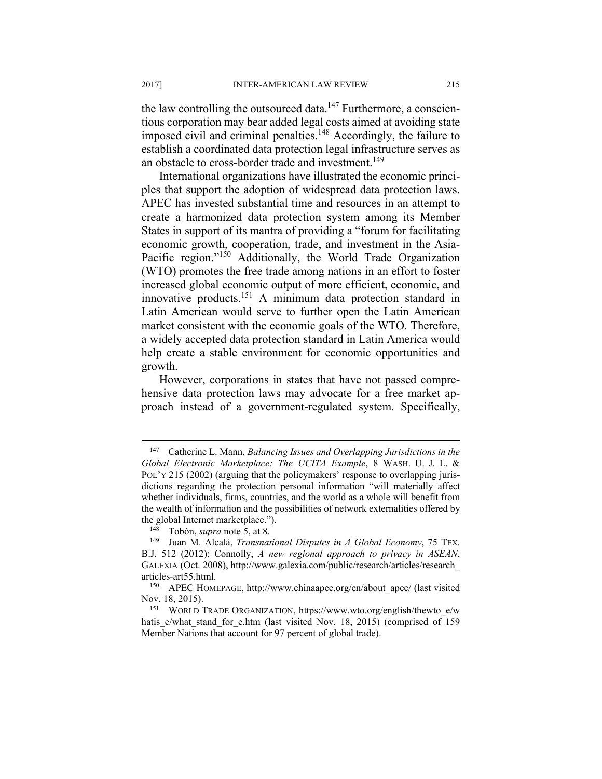the law controlling the outsourced data. $147$  Furthermore, a conscientious corporation may bear added legal costs aimed at avoiding state imposed civil and criminal penalties.<sup>148</sup> Accordingly, the failure to establish a coordinated data protection legal infrastructure serves as an obstacle to cross-border trade and investment.<sup>149</sup>

International organizations have illustrated the economic principles that support the adoption of widespread data protection laws. APEC has invested substantial time and resources in an attempt to create a harmonized data protection system among its Member States in support of its mantra of providing a "forum for facilitating economic growth, cooperation, trade, and investment in the Asia-Pacific region."<sup>150</sup> Additionally, the World Trade Organization (WTO) promotes the free trade among nations in an effort to foster increased global economic output of more efficient, economic, and innovative products.151 A minimum data protection standard in Latin American would serve to further open the Latin American market consistent with the economic goals of the WTO. Therefore, a widely accepted data protection standard in Latin America would help create a stable environment for economic opportunities and growth.

However, corporations in states that have not passed comprehensive data protection laws may advocate for a free market approach instead of a government-regulated system. Specifically,

<sup>147</sup> Catherine L. Mann, *Balancing Issues and Overlapping Jurisdictions in the Global Electronic Marketplace: The UCITA Example*, 8 WASH. U. J. L. & POL'Y 215 (2002) (arguing that the policymakers' response to overlapping jurisdictions regarding the protection personal information "will materially affect whether individuals, firms, countries, and the world as a whole will benefit from the wealth of information and the possibilities of network externalities offered by the global Internet marketplace.").<br><sup>148</sup> Tobón, *supra* note 5, at 8.<br><sup>149</sup> Juan M. Alcalá, *Transnational Disputes in A Global Economy*, 75 TEX.

B.J. 512 (2012); Connolly, *A new regional approach to privacy in ASEAN*, GALEXIA (Oct. 2008), http://www.galexia.com/public/research/articles/research\_

articles-art55.html.<br><sup>150</sup> APEC HOMEPAGE, http://www.chinaapec.org/en/about\_apec/ (last visited Nov. 18, 2015). 151 WORLD TRADE ORGANIZATION, https://www.wto.org/english/thewto\_e/w

hatis e/what stand for e.htm (last visited Nov. 18, 2015) (comprised of 159 Member Nations that account for 97 percent of global trade).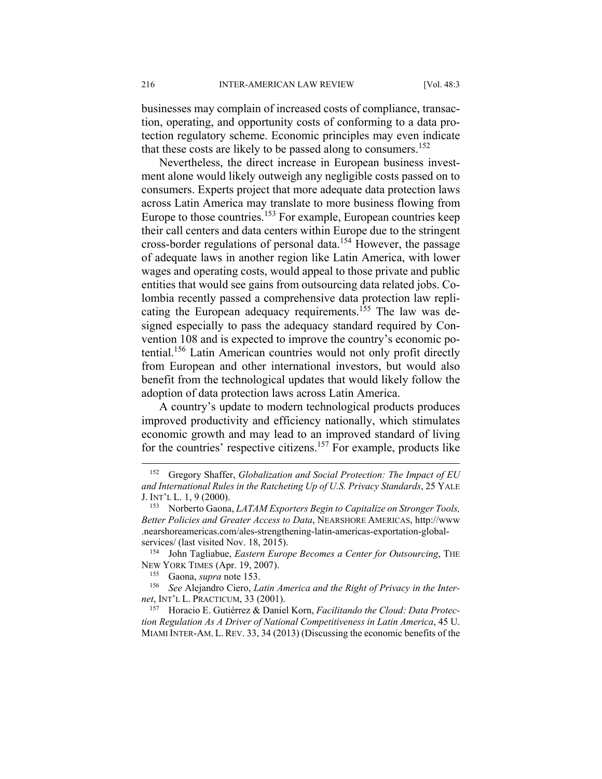businesses may complain of increased costs of compliance, transaction, operating, and opportunity costs of conforming to a data protection regulatory scheme. Economic principles may even indicate that these costs are likely to be passed along to consumers.<sup>152</sup>

Nevertheless, the direct increase in European business investment alone would likely outweigh any negligible costs passed on to consumers. Experts project that more adequate data protection laws across Latin America may translate to more business flowing from Europe to those countries.<sup>153</sup> For example, European countries keep their call centers and data centers within Europe due to the stringent cross-border regulations of personal data.154 However, the passage of adequate laws in another region like Latin America, with lower wages and operating costs, would appeal to those private and public entities that would see gains from outsourcing data related jobs. Colombia recently passed a comprehensive data protection law replicating the European adequacy requirements.<sup>155</sup> The law was designed especially to pass the adequacy standard required by Convention 108 and is expected to improve the country's economic potential.<sup>156</sup> Latin American countries would not only profit directly from European and other international investors, but would also benefit from the technological updates that would likely follow the adoption of data protection laws across Latin America.

A country's update to modern technological products produces improved productivity and efficiency nationally, which stimulates economic growth and may lead to an improved standard of living for the countries' respective citizens.157 For example, products like

<sup>152</sup> Gregory Shaffer, *Globalization and Social Protection: The Impact of EU and International Rules in the Ratcheting Up of U.S. Privacy Standards*, 25 YALE J. INT'L L. 1, 9 (2000). 153 Norberto Gaona, *LATAM Exporters Begin to Capitalize on Stronger Tools,* 

*Better Policies and Greater Access to Data*, NEARSHORE AMERICAS, http://www .nearshoreamericas.com/ales-strengthening-latin-americas-exportation-global-

services/ (last visited Nov. 18, 2015). 154 John Tagliabue, *Eastern Europe Becomes a Center for Outsourcing*, THE NEW YORK TIMES (Apr. 19, 2007).<br><sup>155</sup> Gaona, *supra* note 153.<br><sup>156</sup> See Alejandro Ciero, *Latin America and the Right of Privacy in the Inter-*

*net*, INT'L L. PRACTICUM, 33 (2001). 157 Horacio E. Gutiérrez & Daniel Korn, *Facilitando the Cloud: Data Protec-*

*tion Regulation As A Driver of National Competitiveness in Latin America*, 45 U. MIAMI INTER-AM. L. REV. 33, 34 (2013) (Discussing the economic benefits of the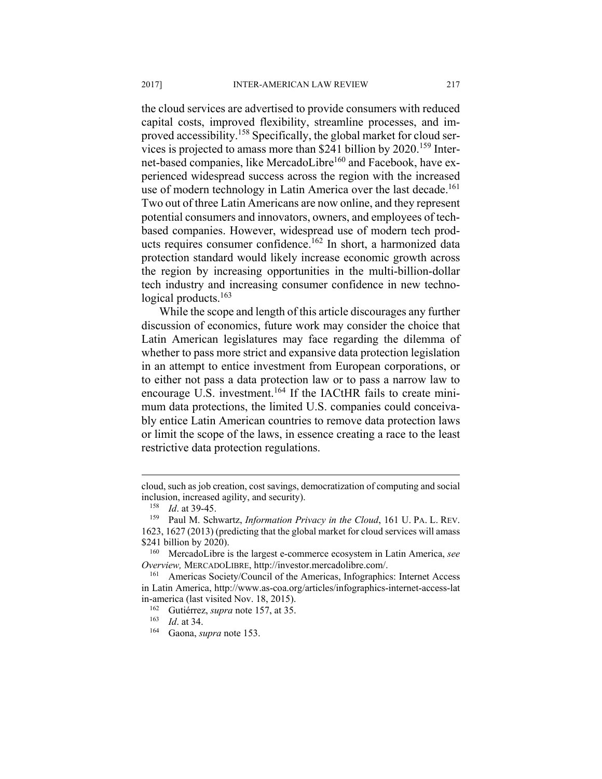the cloud services are advertised to provide consumers with reduced capital costs, improved flexibility, streamline processes, and improved accessibility.<sup>158</sup> Specifically, the global market for cloud services is projected to amass more than \$241 billion by 2020.159 Internet-based companies, like MercadoLibre<sup>160</sup> and Facebook, have experienced widespread success across the region with the increased use of modern technology in Latin America over the last decade.<sup>161</sup> Two out of three Latin Americans are now online, and they represent potential consumers and innovators, owners, and employees of techbased companies. However, widespread use of modern tech products requires consumer confidence.<sup>162</sup> In short, a harmonized data protection standard would likely increase economic growth across the region by increasing opportunities in the multi-billion-dollar tech industry and increasing consumer confidence in new technological products.<sup>163</sup>

While the scope and length of this article discourages any further discussion of economics, future work may consider the choice that Latin American legislatures may face regarding the dilemma of whether to pass more strict and expansive data protection legislation in an attempt to entice investment from European corporations, or to either not pass a data protection law or to pass a narrow law to encourage U.S. investment.<sup>164</sup> If the IACtHR fails to create minimum data protections, the limited U.S. companies could conceivably entice Latin American countries to remove data protection laws or limit the scope of the laws, in essence creating a race to the least restrictive data protection regulations.

cloud, such as job creation, cost savings, democratization of computing and social

inclusion, increased agility, and security).<br><sup>158</sup> *Id.* at 39-45.<br><sup>159</sup> Paul M. Schwartz, *Information Privacy in the Cloud*, 161 U. PA. L. REV. 1623, 1627 (2013) (predicting that the global market for cloud services will amass

<sup>\$241</sup> billion by 2020).<br><sup>160</sup> MercadoLibre is the largest e-commerce ecosystem in Latin America, *see Overview,* MERCADOLIBRE, http://investor.mercadolibre.com/.<br><sup>161</sup> Americas Society/Council of the Americas, Infographics: Internet Access

in Latin America, http://www.as-coa.org/articles/infographics-internet-access-lat in-america (last visited Nov. 18, 2015).<br> $\frac{162}{162}$  Gutiérrez, supra pote 157, at 35.

<sup>162</sup> Gutiérrez, *supra* note 157, at 35. 163 *Id*. at 34. 164 Gaona, *supra* note 153.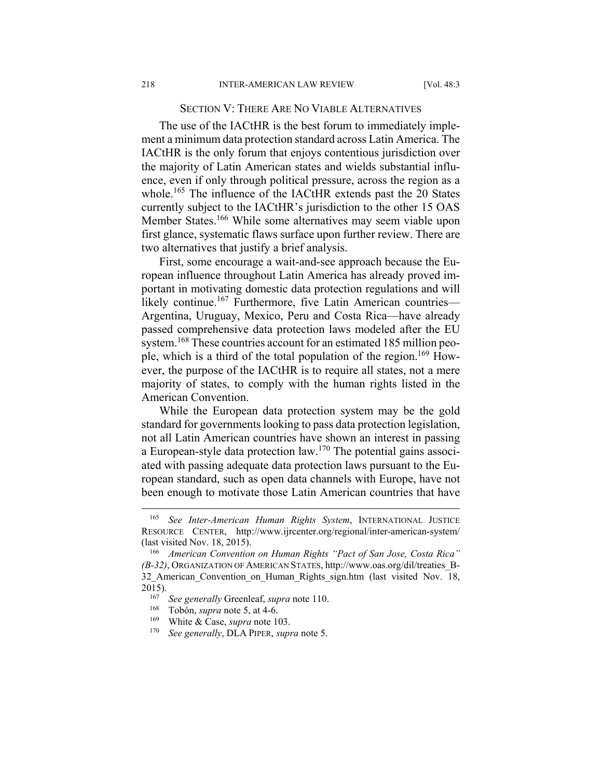# SECTION V: THERE ARE NO VIABLE ALTERNATIVES

The use of the IACtHR is the best forum to immediately implement a minimum data protection standard across Latin America. The IACtHR is the only forum that enjoys contentious jurisdiction over the majority of Latin American states and wields substantial influence, even if only through political pressure, across the region as a whole.<sup>165</sup> The influence of the IACtHR extends past the 20 States currently subject to the IACtHR's jurisdiction to the other 15 OAS Member States.<sup>166</sup> While some alternatives may seem viable upon first glance, systematic flaws surface upon further review. There are two alternatives that justify a brief analysis.

First, some encourage a wait-and-see approach because the European influence throughout Latin America has already proved important in motivating domestic data protection regulations and will likely continue.<sup>167</sup> Furthermore, five Latin American countries— Argentina, Uruguay, Mexico, Peru and Costa Rica—have already passed comprehensive data protection laws modeled after the EU system.<sup>168</sup> These countries account for an estimated 185 million people, which is a third of the total population of the region.<sup>169</sup> However, the purpose of the IACtHR is to require all states, not a mere majority of states, to comply with the human rights listed in the American Convention.

While the European data protection system may be the gold standard for governments looking to pass data protection legislation, not all Latin American countries have shown an interest in passing a European-style data protection law.170 The potential gains associated with passing adequate data protection laws pursuant to the European standard, such as open data channels with Europe, have not been enough to motivate those Latin American countries that have

<sup>165</sup> *See Inter-American Human Rights System*, INTERNATIONAL JUSTICE RESOURCE CENTER, http://www.ijrcenter.org/regional/inter-american-system/ (last visited Nov. 18, 2015). 166 *American Convention on Human Rights "Pact of San Jose, Costa Rica"* 

*<sup>(</sup>B-32)*, ORGANIZATION OF AMERICAN STATES, http://www.oas.org/dil/treaties\_B-32 American Convention on Human Rights sign.htm (last visited Nov. 18, 2015).<br><sup>167</sup> *See generally* Greenleaf, *supra* note 110.<br><sup>168</sup> Tobón, *supra* note 5, at 4-6.<br><sup>169</sup> White & Case, *supra* note 103.<br><sup>170</sup> *See generally*, DLA PIPER, *supra* note 5.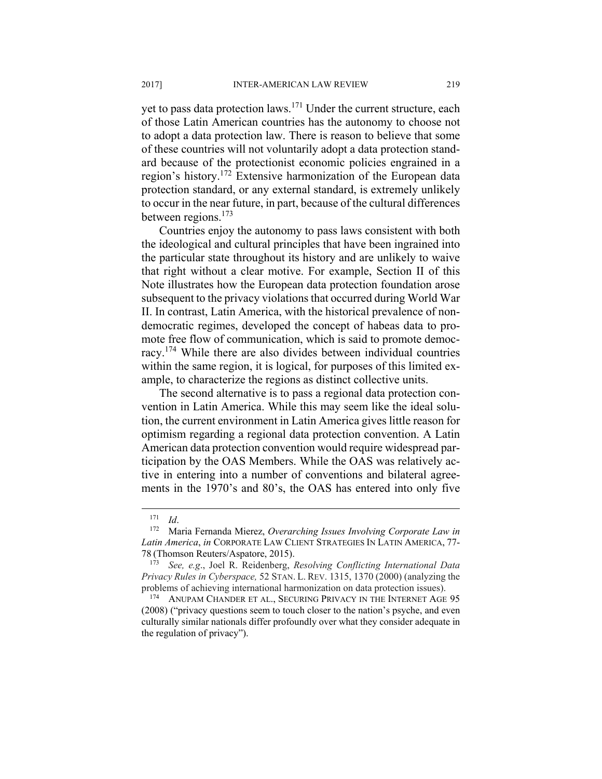yet to pass data protection laws.171 Under the current structure, each of those Latin American countries has the autonomy to choose not to adopt a data protection law. There is reason to believe that some of these countries will not voluntarily adopt a data protection standard because of the protectionist economic policies engrained in a region's history.172 Extensive harmonization of the European data protection standard, or any external standard, is extremely unlikely to occur in the near future, in part, because of the cultural differences between regions.<sup>173</sup>

Countries enjoy the autonomy to pass laws consistent with both the ideological and cultural principles that have been ingrained into the particular state throughout its history and are unlikely to waive that right without a clear motive. For example, Section II of this Note illustrates how the European data protection foundation arose subsequent to the privacy violations that occurred during World War II. In contrast, Latin America, with the historical prevalence of nondemocratic regimes, developed the concept of habeas data to promote free flow of communication, which is said to promote democracy.174 While there are also divides between individual countries within the same region, it is logical, for purposes of this limited example, to characterize the regions as distinct collective units.

The second alternative is to pass a regional data protection convention in Latin America. While this may seem like the ideal solution, the current environment in Latin America gives little reason for optimism regarding a regional data protection convention. A Latin American data protection convention would require widespread participation by the OAS Members. While the OAS was relatively active in entering into a number of conventions and bilateral agreements in the 1970's and 80's, the OAS has entered into only five

<sup>171</sup> *Id*. 172 Maria Fernanda Mierez, *Overarching Issues Involving Corporate Law in Latin America*, *in* CORPORATE LAW CLIENT STRATEGIES IN LATIN AMERICA, 77- 78 (Thomson Reuters/Aspatore, 2015).

<sup>173</sup> *See, e.g*., Joel R. Reidenberg, *Resolving Conflicting International Data Privacy Rules in Cyberspace,* 52 STAN. L. REV. 1315, 1370 (2000) (analyzing the problems of achieving international harmonization on data protection issues).

<sup>174</sup> ANUPAM CHANDER ET AL., SECURING PRIVACY IN THE INTERNET AGE 95 (2008) ("privacy questions seem to touch closer to the nation's psyche, and even culturally similar nationals differ profoundly over what they consider adequate in the regulation of privacy").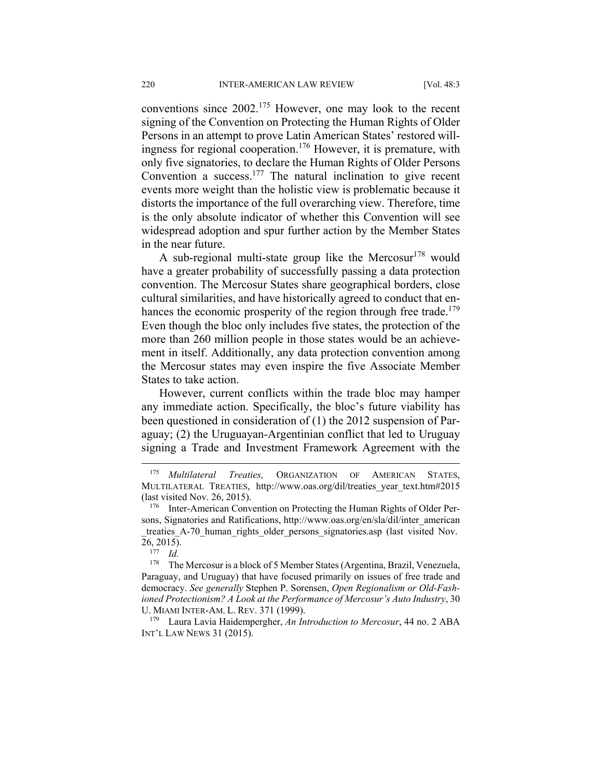conventions since 2002.175 However, one may look to the recent signing of the Convention on Protecting the Human Rights of Older Persons in an attempt to prove Latin American States' restored willingness for regional cooperation.176 However, it is premature, with only five signatories, to declare the Human Rights of Older Persons Convention a success. $177$  The natural inclination to give recent events more weight than the holistic view is problematic because it distorts the importance of the full overarching view. Therefore, time is the only absolute indicator of whether this Convention will see widespread adoption and spur further action by the Member States in the near future.

A sub-regional multi-state group like the Mercosur<sup>178</sup> would have a greater probability of successfully passing a data protection convention. The Mercosur States share geographical borders, close cultural similarities, and have historically agreed to conduct that enhances the economic prosperity of the region through free trade.<sup>179</sup> Even though the bloc only includes five states, the protection of the more than 260 million people in those states would be an achievement in itself. Additionally, any data protection convention among the Mercosur states may even inspire the five Associate Member States to take action.

However, current conflicts within the trade bloc may hamper any immediate action. Specifically, the bloc's future viability has been questioned in consideration of (1) the 2012 suspension of Paraguay; (2) the Uruguayan-Argentinian conflict that led to Uruguay signing a Trade and Investment Framework Agreement with the

<sup>175</sup> *Multilateral Treaties,* ORGANIZATION OF AMERICAN STATES, MULTILATERAL TREATIES, http://www.oas.org/dil/treaties\_year\_text.htm#2015 (last visited Nov. 26, 2015). 176 Inter-American Convention on Protecting the Human Rights of Older Per-

sons, Signatories and Ratifications, http://www.oas.org/en/sla/dil/inter\_american \_treaties\_A-70\_human\_rights\_older\_persons\_signatories.asp (last visited Nov. 26, 2015). 177 *Id.*

<sup>178</sup> The Mercosur is a block of 5 Member States (Argentina, Brazil, Venezuela, Paraguay, and Uruguay) that have focused primarily on issues of free trade and democracy. *See generally* Stephen P. Sorensen, *Open Regionalism or Old-Fashioned Protectionism? A Look at the Performance of Mercosur's Auto Industry*, 30 U. MIAMI INTER-AM. L. REV. 371 (1999).<br><sup>179</sup> Laura Lavia Haidempergher, *An Introduction to Mercosur*, 44 no. 2 ABA

INT'L LAW NEWS 31 (2015).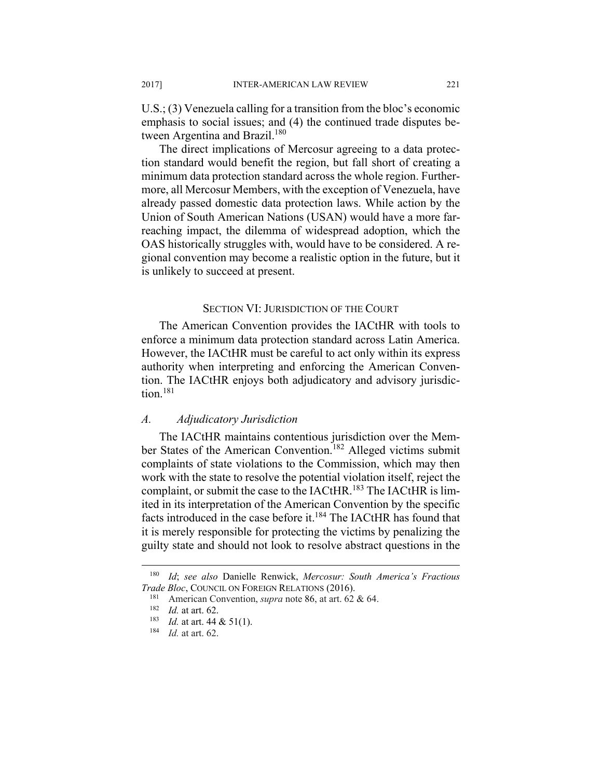U.S.; (3) Venezuela calling for a transition from the bloc's economic emphasis to social issues; and (4) the continued trade disputes between Argentina and Brazil.<sup>180</sup>

The direct implications of Mercosur agreeing to a data protection standard would benefit the region, but fall short of creating a minimum data protection standard across the whole region. Furthermore, all Mercosur Members, with the exception of Venezuela, have already passed domestic data protection laws. While action by the Union of South American Nations (USAN) would have a more farreaching impact, the dilemma of widespread adoption, which the OAS historically struggles with, would have to be considered. A regional convention may become a realistic option in the future, but it is unlikely to succeed at present.

# SECTION VI: JURISDICTION OF THE COURT

The American Convention provides the IACtHR with tools to enforce a minimum data protection standard across Latin America. However, the IACtHR must be careful to act only within its express authority when interpreting and enforcing the American Convention. The IACtHR enjoys both adjudicatory and advisory jurisdiction.<sup>181</sup>

#### *A. Adjudicatory Jurisdiction*

The IACtHR maintains contentious jurisdiction over the Member States of the American Convention.<sup>182</sup> Alleged victims submit complaints of state violations to the Commission, which may then work with the state to resolve the potential violation itself, reject the complaint, or submit the case to the IACtHR.<sup>183</sup> The IACtHR is limited in its interpretation of the American Convention by the specific facts introduced in the case before it.<sup>184</sup> The IACtHR has found that it is merely responsible for protecting the victims by penalizing the guilty state and should not look to resolve abstract questions in the

<sup>180</sup> *Id*; *see also* Danielle Renwick, *Mercosur: South America's Fractious Trade Bloc*, COUNCIL ON FOREIGN RELATIONS (2016).<br><sup>181</sup> American Convention, *supra* note 86, at art. 62 & 64.

<sup>182</sup> *Id.* at art. 62.<br><sup>183</sup> *Id.* at art. 44 & 51(1).<br><sup>184</sup> *Id.* at art. 62.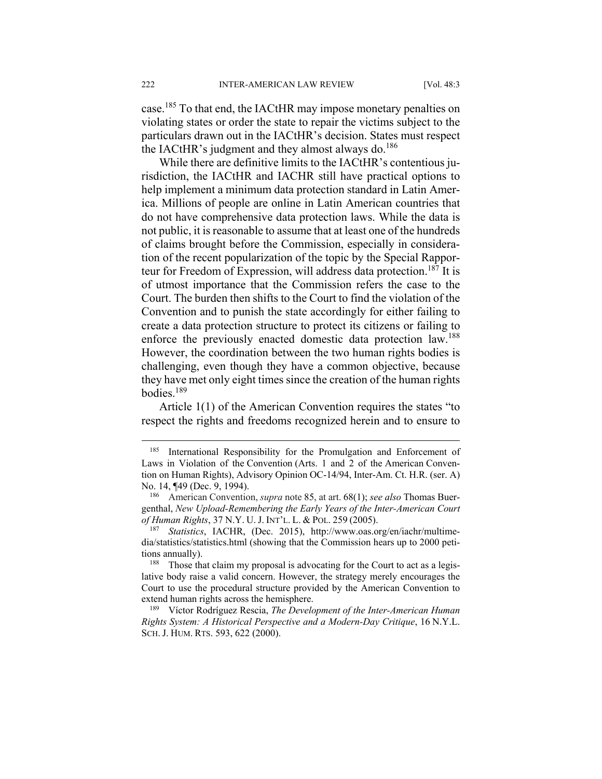case.185 To that end, the IACtHR may impose monetary penalties on violating states or order the state to repair the victims subject to the particulars drawn out in the IACtHR's decision. States must respect the IACtHR's judgment and they almost always do. $186$ 

While there are definitive limits to the IACtHR's contentious jurisdiction, the IACtHR and IACHR still have practical options to help implement a minimum data protection standard in Latin America. Millions of people are online in Latin American countries that do not have comprehensive data protection laws. While the data is not public, it is reasonable to assume that at least one of the hundreds of claims brought before the Commission, especially in consideration of the recent popularization of the topic by the Special Rapporteur for Freedom of Expression, will address data protection.<sup>187</sup> It is of utmost importance that the Commission refers the case to the Court. The burden then shifts to the Court to find the violation of the Convention and to punish the state accordingly for either failing to create a data protection structure to protect its citizens or failing to enforce the previously enacted domestic data protection law.<sup>188</sup> However, the coordination between the two human rights bodies is challenging, even though they have a common objective, because they have met only eight times since the creation of the human rights bodies $189$ 

Article 1(1) of the American Convention requires the states "to respect the rights and freedoms recognized herein and to ensure to

<sup>185</sup> International Responsibility for the Promulgation and Enforcement of Laws in Violation of the Convention (Arts. 1 and 2 of the American Convention on Human Rights), Advisory Opinion OC-14/94, Inter-Am. Ct. H.R. (ser. A) No. 14, ¶49 (Dec. 9, 1994). 186 American Convention, *supra* note 85, at art. 68(1); *see also* Thomas Buer-

genthal, *New Upload-Remembering the Early Years of the Inter-American Court* 

*Statistics*, IACHR, (Dec. 2015), http://www.oas.org/en/iachr/multimedia/statistics/statistics.html (showing that the Commission hears up to 2000 petitions annually).<br><sup>188</sup> Those that claim my proposal is advocating for the Court to act as a legis-

lative body raise a valid concern. However, the strategy merely encourages the Court to use the procedural structure provided by the American Convention to extend human rights across the hemisphere.<br><sup>189</sup> Víctor Rodríguez Rescia, *The Development of the Inter-American Human* 

*Rights System: A Historical Perspective and a Modern-Day Critique*, 16 N.Y.L. SCH. J. HUM. RTS. 593, 622 (2000).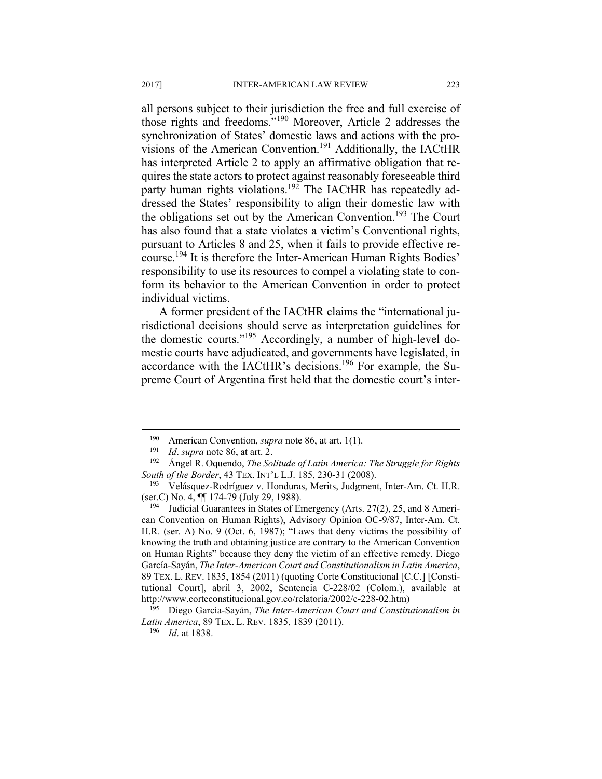all persons subject to their jurisdiction the free and full exercise of those rights and freedoms."190 Moreover, Article 2 addresses the synchronization of States' domestic laws and actions with the provisions of the American Convention.191 Additionally, the IACtHR has interpreted Article 2 to apply an affirmative obligation that requires the state actors to protect against reasonably foreseeable third party human rights violations.<sup>192</sup> The IACtHR has repeatedly addressed the States' responsibility to align their domestic law with the obligations set out by the American Convention.<sup>193</sup> The Court has also found that a state violates a victim's Conventional rights, pursuant to Articles 8 and 25, when it fails to provide effective recourse.194 It is therefore the Inter-American Human Rights Bodies' responsibility to use its resources to compel a violating state to conform its behavior to the American Convention in order to protect individual victims.

A former president of the IACtHR claims the "international jurisdictional decisions should serve as interpretation guidelines for the domestic courts."195 Accordingly, a number of high-level domestic courts have adjudicated, and governments have legislated, in accordance with the IACtHR's decisions.196 For example, the Supreme Court of Argentina first held that the domestic court's inter-

<sup>190</sup> American Convention, *supra* note 86, at art. 1(1).<br>
191 *Id. supra* note 86, at art. 2.<br>
192 Ángel R. Oquendo, *The Solitude of Latin America: The Struggle for Rights South of the Border*, 43 TEX. INT'L L.J. 185, 230-31 (2008).<br><sup>193</sup> Velásquez-Rodríguez v. Honduras, Merits, Judgment, Inter-Am. Ct. H.R.

<sup>(</sup>ser.C) No. 4,  $\P$  174-79 (July 29, 1988).<br><sup>194</sup> Judicial Guarantees in States of Emergency (Arts. 27(2), 25, and 8 Ameri-

can Convention on Human Rights), Advisory Opinion OC-9/87, Inter-Am. Ct. H.R. (ser. A) No. 9 (Oct. 6, 1987); "Laws that deny victims the possibility of knowing the truth and obtaining justice are contrary to the American Convention on Human Rights" because they deny the victim of an effective remedy. Diego García-Sayán, *The Inter-American Court and Constitutionalism in Latin America*, 89 TEX. L. REV. 1835, 1854 (2011) (quoting Corte Constitucional [C.C.] [Constitutional Court], abril 3, 2002, Sentencia C-228/02 (Colom.), available at http://www.corteconstitucional.gov.co/relatoria/2002/c-228-02.htm) 195 Diego García-Sayán, *The Inter-American Court and Constitutionalism in* 

*Latin America*, 89 TEX. L. REV. 1835, 1839 (2011). 196 *Id*. at 1838.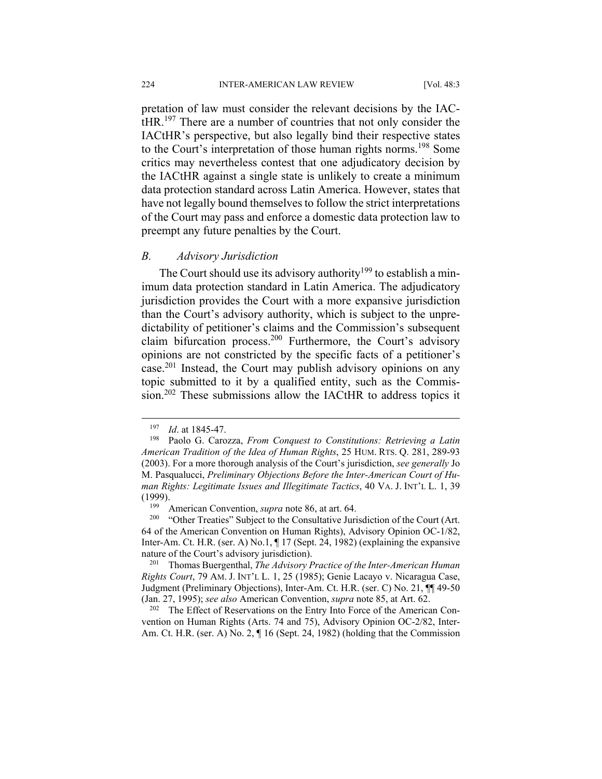pretation of law must consider the relevant decisions by the IACtHR.197 There are a number of countries that not only consider the IACtHR's perspective, but also legally bind their respective states to the Court's interpretation of those human rights norms.198 Some critics may nevertheless contest that one adjudicatory decision by the IACtHR against a single state is unlikely to create a minimum data protection standard across Latin America. However, states that have not legally bound themselves to follow the strict interpretations of the Court may pass and enforce a domestic data protection law to preempt any future penalties by the Court.

# *B. Advisory Jurisdiction*

The Court should use its advisory authority<sup>199</sup> to establish a minimum data protection standard in Latin America. The adjudicatory jurisdiction provides the Court with a more expansive jurisdiction than the Court's advisory authority, which is subject to the unpredictability of petitioner's claims and the Commission's subsequent claim bifurcation process.200 Furthermore, the Court's advisory opinions are not constricted by the specific facts of a petitioner's case.201 Instead, the Court may publish advisory opinions on any topic submitted to it by a qualified entity, such as the Commission.<sup>202</sup> These submissions allow the IACtHR to address topics it

 $\overline{a}$ 

vention on Human Rights (Arts. 74 and 75), Advisory Opinion OC-2/82, Inter-Am. Ct. H.R. (ser. A) No. 2, ¶ 16 (Sept. 24, 1982) (holding that the Commission

<sup>197</sup> *Id*. at 1845-47. 198 Paolo G. Carozza, *From Conquest to Constitutions: Retrieving a Latin American Tradition of the Idea of Human Rights*, 25 HUM. RTS. Q. 281, 289-93 (2003). For a more thorough analysis of the Court's jurisdiction, *see generally* Jo M. Pasqualucci, *Preliminary Objections Before the Inter-American Court of Human Rights: Legitimate Issues and Illegitimate Tactics*, 40 VA. J. INT'L L. 1, 39 (1999).<br><sup>199</sup> American Convention, *supra* note 86, at art. 64.<br><sup>200</sup> "Other Treaties" Subject to the Consultative Jurisdiction of the Court (Art.

<sup>64</sup> of the American Convention on Human Rights), Advisory Opinion OC-1/82, Inter-Am. Ct. H.R. (ser. A) No.1,  $\P$  17 (Sept. 24, 1982) (explaining the expansive nature of the Court's advisory jurisdiction).<br><sup>201</sup> Thomas Buergenthal, *The Advisory Practice of the Inter-American Human* 

*Rights Court*, 79 AM. J. INT'L L. 1, 25 (1985); Genie Lacayo v. Nicaragua Case, Judgment (Preliminary Objections), Inter-Am. Ct. H.R. (ser. C) No. 21, ¶¶ 49-50 (Jan. 27, 1995); *see also* American Convention, *supra* note 85, at Art. 62.<br><sup>202</sup> The Effect of Reservations on the Entry Into Force of the American Con-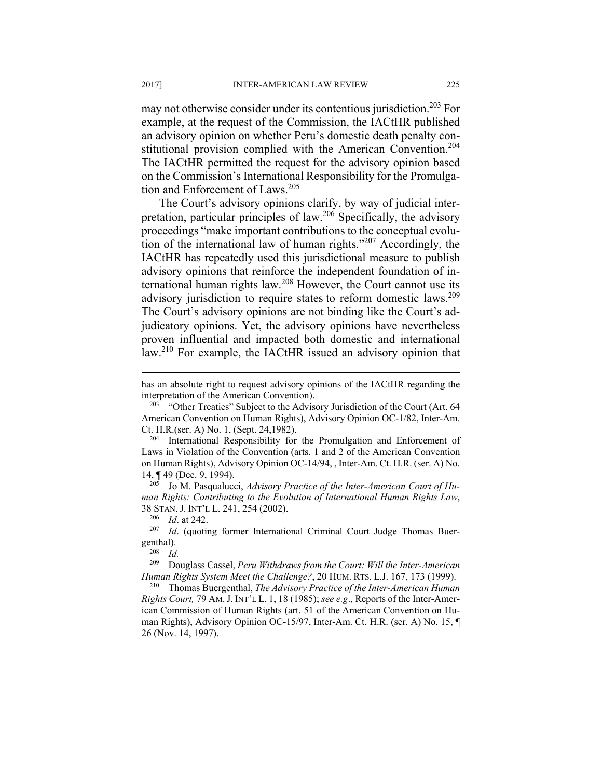may not otherwise consider under its contentious jurisdiction.<sup>203</sup> For example, at the request of the Commission, the IACtHR published an advisory opinion on whether Peru's domestic death penalty constitutional provision complied with the American Convention.<sup>204</sup> The IACtHR permitted the request for the advisory opinion based on the Commission's International Responsibility for the Promulgation and Enforcement of Laws.<sup>205</sup>

The Court's advisory opinions clarify, by way of judicial interpretation, particular principles of law.206 Specifically, the advisory proceedings "make important contributions to the conceptual evolution of the international law of human rights."207 Accordingly, the IACtHR has repeatedly used this jurisdictional measure to publish advisory opinions that reinforce the independent foundation of international human rights law.208 However, the Court cannot use its advisory jurisdiction to require states to reform domestic laws.<sup>209</sup> The Court's advisory opinions are not binding like the Court's adjudicatory opinions. Yet, the advisory opinions have nevertheless proven influential and impacted both domestic and international law.210 For example, the IACtHR issued an advisory opinion that

*man Rights: Contributing to the Evolution of International Human Rights Law*, 38 STAN. J. INT'L L. 241, 254 (2002). 206 *Id*. at 242. 207 *Id*. (quoting former International Criminal Court Judge Thomas Buer-

genthal).<br> $\frac{1}{208}$  *Id.* 

 $\overline{a}$ 

209 Douglass Cassel, *Peru Withdraws from the Court: Will the Inter-American* 

*Human Rights System Meet the Challenge?*, 20 HUM. RTS. L.J. 167, 173 (1999). 210 Thomas Buergenthal, *The Advisory Practice of the Inter-American Human Rights Court,* 79 AM.J. INT'L L. 1, 18 (1985); *see e.g*., Reports of the Inter-American Commission of Human Rights (art. 51 of the American Convention on Human Rights), Advisory Opinion OC-15/97, Inter-Am. Ct. H.R. (ser. A) No. 15, ¶ 26 (Nov. 14, 1997).

has an absolute right to request advisory opinions of the IACtHR regarding the

interpretation of the American Convention).<br><sup>203</sup> "Other Treaties" Subject to the Advisory Jurisdiction of the Court (Art. 64 American Convention on Human Rights), Advisory Opinion OC-1/82, Inter-Am.

Ct. H.R.(ser. A) No. 1, (Sept. 24,1982).<br><sup>204</sup> International Responsibility for the Promulgation and Enforcement of Laws in Violation of the Convention (arts. 1 and 2 of the American Convention on Human Rights), Advisory Opinion OC-14/94, , Inter-Am. Ct. H.R. (ser. A) No. 14, ¶ 49 (Dec. 9, 1994). 205 Jo M. Pasqualucci, *Advisory Practice of the Inter-American Court of Hu-*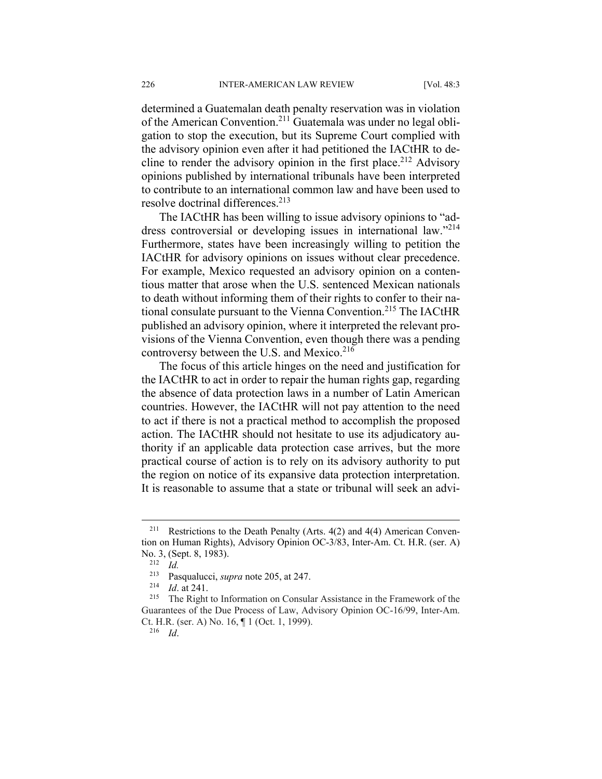determined a Guatemalan death penalty reservation was in violation of the American Convention.211 Guatemala was under no legal obligation to stop the execution, but its Supreme Court complied with the advisory opinion even after it had petitioned the IACtHR to decline to render the advisory opinion in the first place.<sup>212</sup> Advisory opinions published by international tribunals have been interpreted to contribute to an international common law and have been used to resolve doctrinal differences.<sup>213</sup>

The IACtHR has been willing to issue advisory opinions to "address controversial or developing issues in international law."<sup>214</sup> Furthermore, states have been increasingly willing to petition the IACtHR for advisory opinions on issues without clear precedence. For example, Mexico requested an advisory opinion on a contentious matter that arose when the U.S. sentenced Mexican nationals to death without informing them of their rights to confer to their national consulate pursuant to the Vienna Convention.<sup>215</sup> The IACtHR published an advisory opinion, where it interpreted the relevant provisions of the Vienna Convention, even though there was a pending controversy between the U.S. and Mexico.<sup>216</sup>

The focus of this article hinges on the need and justification for the IACtHR to act in order to repair the human rights gap, regarding the absence of data protection laws in a number of Latin American countries. However, the IACtHR will not pay attention to the need to act if there is not a practical method to accomplish the proposed action. The IACtHR should not hesitate to use its adjudicatory authority if an applicable data protection case arrives, but the more practical course of action is to rely on its advisory authority to put the region on notice of its expansive data protection interpretation. It is reasonable to assume that a state or tribunal will seek an advi-

 $\overline{a}$ 

216 *Id*.

<sup>&</sup>lt;sup>211</sup> Restrictions to the Death Penalty (Arts.  $4(2)$  and  $4(4)$  American Convention on Human Rights), Advisory Opinion OC-3/83, Inter-Am. Ct. H.R. (ser. A) No. 3, (Sept. 8, 1983). 212 *Id.*

<sup>213</sup> Pasqualucci, *supra* note 205, at 247. 214 *Id*. at 241. 215 The Right to Information on Consular Assistance in the Framework of the Guarantees of the Due Process of Law, Advisory Opinion OC-16/99, Inter-Am. Ct. H.R. (ser. A) No. 16, ¶ 1 (Oct. 1, 1999).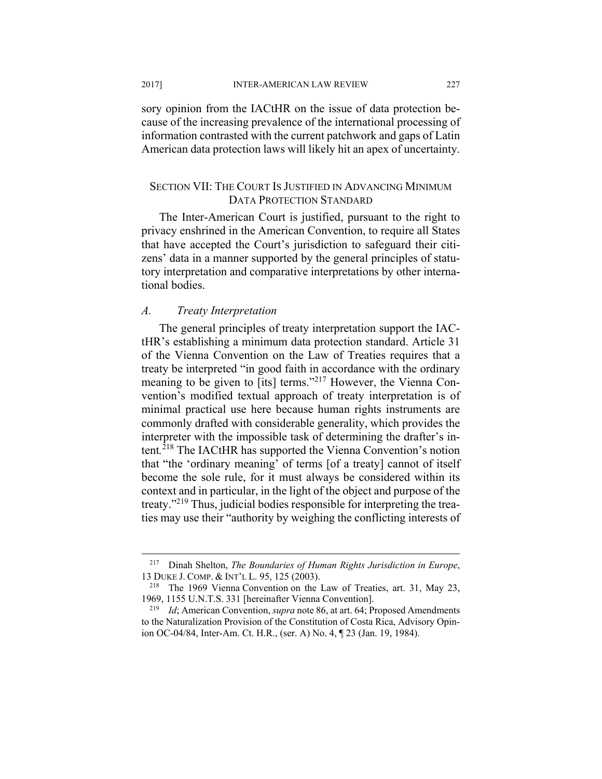2017] INTER-AMERICAN LAW REVIEW 227

sory opinion from the IACtHR on the issue of data protection because of the increasing prevalence of the international processing of information contrasted with the current patchwork and gaps of Latin American data protection laws will likely hit an apex of uncertainty.

# SECTION VII: THE COURT IS JUSTIFIED IN ADVANCING MINIMUM DATA PROTECTION STANDARD

The Inter-American Court is justified, pursuant to the right to privacy enshrined in the American Convention, to require all States that have accepted the Court's jurisdiction to safeguard their citizens' data in a manner supported by the general principles of statutory interpretation and comparative interpretations by other international bodies.

# *A. Treaty Interpretation*

The general principles of treaty interpretation support the IACtHR's establishing a minimum data protection standard. Article 31 of the Vienna Convention on the Law of Treaties requires that a treaty be interpreted "in good faith in accordance with the ordinary meaning to be given to [its] terms."<sup>217</sup> However, the Vienna Convention's modified textual approach of treaty interpretation is of minimal practical use here because human rights instruments are commonly drafted with considerable generality, which provides the interpreter with the impossible task of determining the drafter's intent*.* 218 The IACtHR has supported the Vienna Convention's notion that "the 'ordinary meaning' of terms [of a treaty] cannot of itself become the sole rule, for it must always be considered within its context and in particular, in the light of the object and purpose of the treaty."219 Thus, judicial bodies responsible for interpreting the treaties may use their "authority by weighing the conflicting interests of

<sup>217</sup> Dinah Shelton, *The Boundaries of Human Rights Jurisdiction in Europe*, 13 DUKE J. COMP. & INT'L L. 95, 125 (2003). 218 The 1969 Vienna Convention on the Law of Treaties, art. 31, May 23,

<sup>1969, 1155</sup> U.N.T.S. 331 [hereinafter Vienna Convention]. 219 *Id*; American Convention, *supra* note 86, at art. 64; Proposed Amendments

to the Naturalization Provision of the Constitution of Costa Rica, Advisory Opinion OC-04/84, Inter-Am. Ct. H.R., (ser. A) No. 4, ¶ 23 (Jan. 19, 1984).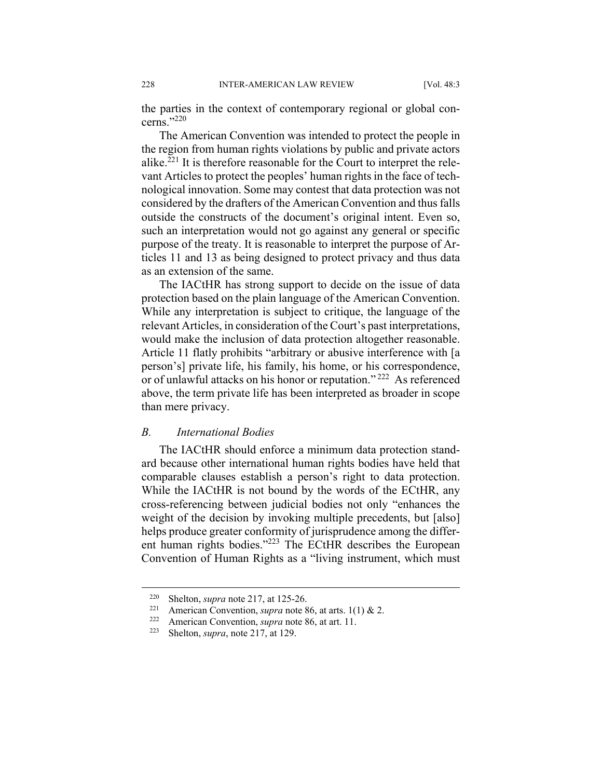the parties in the context of contemporary regional or global concerns."220

The American Convention was intended to protect the people in the region from human rights violations by public and private actors alike. $2^{21}$  It is therefore reasonable for the Court to interpret the relevant Articles to protect the peoples' human rights in the face of technological innovation. Some may contest that data protection was not considered by the drafters of the American Convention and thus falls outside the constructs of the document's original intent. Even so, such an interpretation would not go against any general or specific purpose of the treaty. It is reasonable to interpret the purpose of Articles 11 and 13 as being designed to protect privacy and thus data as an extension of the same.

The IACtHR has strong support to decide on the issue of data protection based on the plain language of the American Convention. While any interpretation is subject to critique, the language of the relevant Articles, in consideration of the Court's past interpretations, would make the inclusion of data protection altogether reasonable. Article 11 flatly prohibits "arbitrary or abusive interference with [a person's] private life, his family, his home, or his correspondence, or of unlawful attacks on his honor or reputation." 222 As referenced above, the term private life has been interpreted as broader in scope than mere privacy.

# *B. International Bodies*

The IACtHR should enforce a minimum data protection standard because other international human rights bodies have held that comparable clauses establish a person's right to data protection. While the IACtHR is not bound by the words of the ECtHR, any cross-referencing between judicial bodies not only "enhances the weight of the decision by invoking multiple precedents, but [also] helps produce greater conformity of jurisprudence among the different human rights bodies."223 The ECtHR describes the European Convention of Human Rights as a "living instrument, which must

<sup>220</sup> Shelton, *supra* note 217, at 125-26. 221 American Convention, *supra* note 86, at arts. 1(1) & 2. 222 American Convention, *supra* note 86, at art. 11. 223 Shelton, *supra*, note 217, at 129.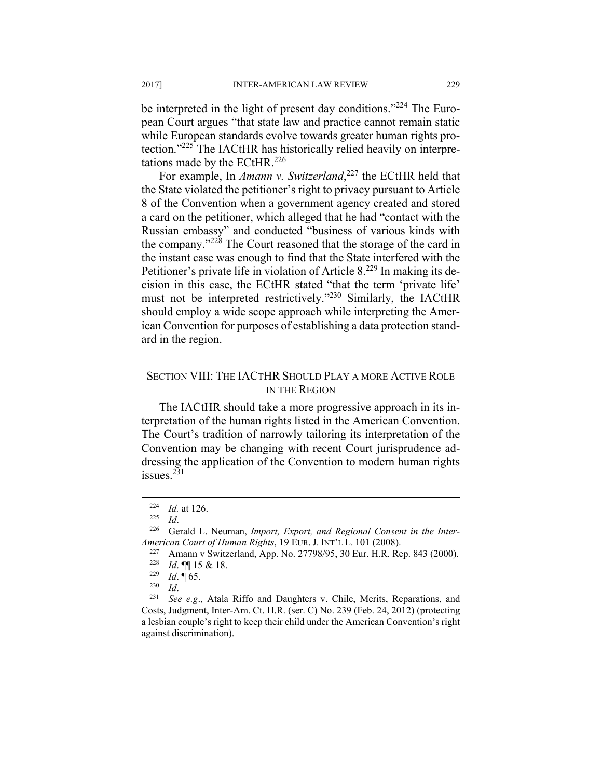be interpreted in the light of present day conditions."<sup>224</sup> The European Court argues "that state law and practice cannot remain static while European standards evolve towards greater human rights protection."225 The IACtHR has historically relied heavily on interpretations made by the ECtHR.<sup>226</sup>

For example, In *Amann v. Switzerland*, 227 the ECtHR held that the State violated the petitioner's right to privacy pursuant to Article 8 of the Convention when a government agency created and stored a card on the petitioner, which alleged that he had "contact with the Russian embassy" and conducted "business of various kinds with the company."228 The Court reasoned that the storage of the card in the instant case was enough to find that the State interfered with the Petitioner's private life in violation of Article 8.<sup>229</sup> In making its decision in this case, the ECtHR stated "that the term 'private life' must not be interpreted restrictively."230 Similarly, the IACtHR should employ a wide scope approach while interpreting the American Convention for purposes of establishing a data protection standard in the region.

# SECTION VIII: THE IACTHR SHOULD PLAY A MORE ACTIVE ROLE IN THE REGION

The IACtHR should take a more progressive approach in its interpretation of the human rights listed in the American Convention. The Court's tradition of narrowly tailoring its interpretation of the Convention may be changing with recent Court jurisprudence addressing the application of the Convention to modern human rights issues.231

<sup>224</sup> *Id.* at 126. 225 *Id*. 226 Gerald L. Neuman, *Import, Export, and Regional Consent in the Inter-*

*American Court of Human Rights*, 19 EUR. J. INT'L L. 101 (2008).<br><sup>227</sup> Amann v Switzerland, App. No. 27798/95, 30 Eur. H.R. Rep. 843 (2000).<br><sup>228</sup> *Id.* ¶ 15 & 18.<br><sup>229</sup> *Id.* ¶ 65.<br><sup>230</sup> *Id. See e.g.*, Atala Riffo an

Costs, Judgment, Inter-Am. Ct. H.R. (ser. C) No. 239 (Feb. 24, 2012) (protecting a lesbian couple's right to keep their child under the American Convention's right against discrimination).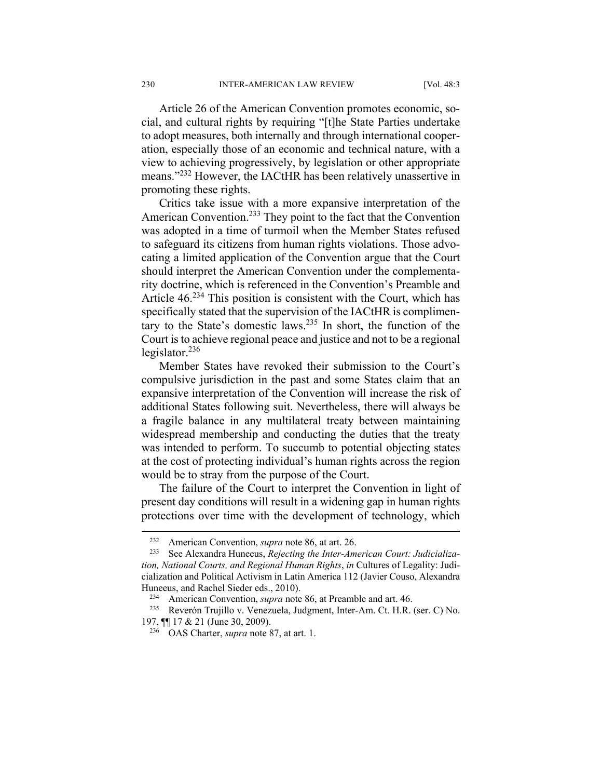Article 26 of the American Convention promotes economic, social, and cultural rights by requiring "[t]he State Parties undertake to adopt measures, both internally and through international cooperation, especially those of an economic and technical nature, with a view to achieving progressively, by legislation or other appropriate means."232 However, the IACtHR has been relatively unassertive in promoting these rights.

Critics take issue with a more expansive interpretation of the American Convention.<sup>233</sup> They point to the fact that the Convention was adopted in a time of turmoil when the Member States refused to safeguard its citizens from human rights violations. Those advocating a limited application of the Convention argue that the Court should interpret the American Convention under the complementarity doctrine, which is referenced in the Convention's Preamble and Article  $46.234$  This position is consistent with the Court, which has specifically stated that the supervision of the IACtHR is complimentary to the State's domestic laws.235 In short, the function of the Court is to achieve regional peace and justice and not to be a regional legislator. $^{236}$ 

Member States have revoked their submission to the Court's compulsive jurisdiction in the past and some States claim that an expansive interpretation of the Convention will increase the risk of additional States following suit. Nevertheless, there will always be a fragile balance in any multilateral treaty between maintaining widespread membership and conducting the duties that the treaty was intended to perform. To succumb to potential objecting states at the cost of protecting individual's human rights across the region would be to stray from the purpose of the Court.

The failure of the Court to interpret the Convention in light of present day conditions will result in a widening gap in human rights protections over time with the development of technology, which

<sup>&</sup>lt;sup>232</sup> American Convention, *supra* note 86, at art. 26.<br><sup>233</sup> See Alexandra Huneeus, *Rejecting the Inter-American Court: Judicialization, National Courts, and Regional Human Rights*, *in* Cultures of Legality: Judicialization and Political Activism in Latin America 112 (Javier Couso, Alexandra Huneeus, and Rachel Sieder eds., 2010).<br><sup>234</sup> American Convention, *supra* note 86, at Preamble and art. 46.<br><sup>235</sup> Reverón Trujillo v. Venezuela, Judgment, Inter-Am. Ct. H.R. (ser. C) No.

<sup>197, ¶¶ 17 &</sup>amp; 21 (June 30, 2009). 236 OAS Charter, *supra* note 87, at art. 1.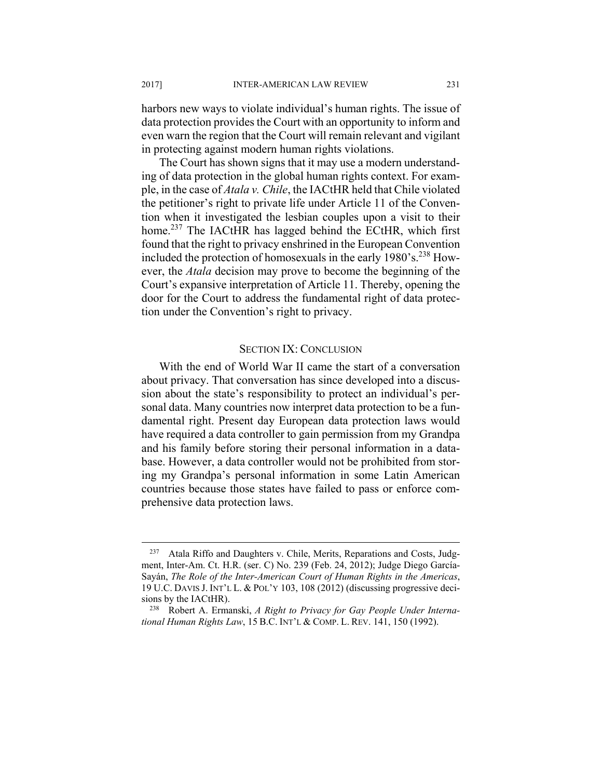harbors new ways to violate individual's human rights. The issue of data protection provides the Court with an opportunity to inform and even warn the region that the Court will remain relevant and vigilant in protecting against modern human rights violations.

The Court has shown signs that it may use a modern understanding of data protection in the global human rights context. For example, in the case of *Atala v. Chile*, the IACtHR held that Chile violated the petitioner's right to private life under Article 11 of the Convention when it investigated the lesbian couples upon a visit to their home.<sup>237</sup> The IACtHR has lagged behind the ECtHR, which first found that the right to privacy enshrined in the European Convention included the protection of homosexuals in the early 1980's.<sup>238</sup> However, the *Atala* decision may prove to become the beginning of the Court's expansive interpretation of Article 11. Thereby, opening the door for the Court to address the fundamental right of data protection under the Convention's right to privacy.

#### SECTION IX: CONCLUSION

With the end of World War II came the start of a conversation about privacy. That conversation has since developed into a discussion about the state's responsibility to protect an individual's personal data. Many countries now interpret data protection to be a fundamental right. Present day European data protection laws would have required a data controller to gain permission from my Grandpa and his family before storing their personal information in a database. However, a data controller would not be prohibited from storing my Grandpa's personal information in some Latin American countries because those states have failed to pass or enforce comprehensive data protection laws.

<sup>&</sup>lt;sup>237</sup> Atala Riffo and Daughters v. Chile, Merits, Reparations and Costs, Judgment, Inter-Am. Ct. H.R. (ser. C) No. 239 (Feb. 24, 2012); Judge Diego García-Sayán, *The Role of the Inter-American Court of Human Rights in the Americas*, 19 U.C. DAVIS J. INT'L L. & POL'Y 103, 108 (2012) (discussing progressive decisions by the IACtHR). 238 Robert A. Ermanski, *A Right to Privacy for Gay People Under Interna-*

*tional Human Rights Law*, 15 B.C. INT'L & COMP. L. REV. 141, 150 (1992).